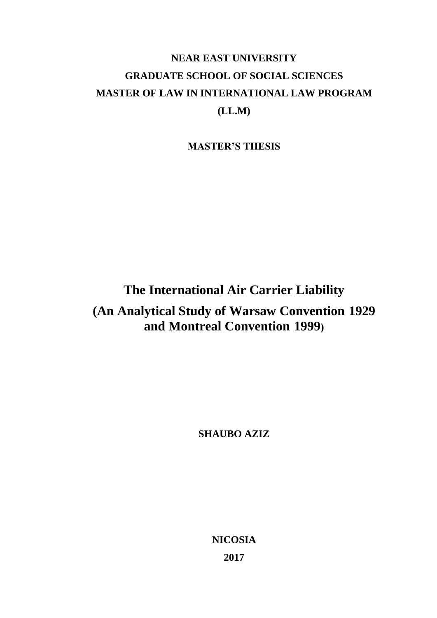# **NEAR EAST UNIVERSITY GRADUATE SCHOOL OF SOCIAL SCIENCES MASTER OF LAW IN INTERNATIONAL LAW PROGRAM (LL.M)**

**MASTER'S THESIS**

# **The International Air Carrier Liability (An Analytical Study of Warsaw Convention 1929 and Montreal Convention 1999)**

**SHAUBO AZIZ**

**NICOSIA 2017**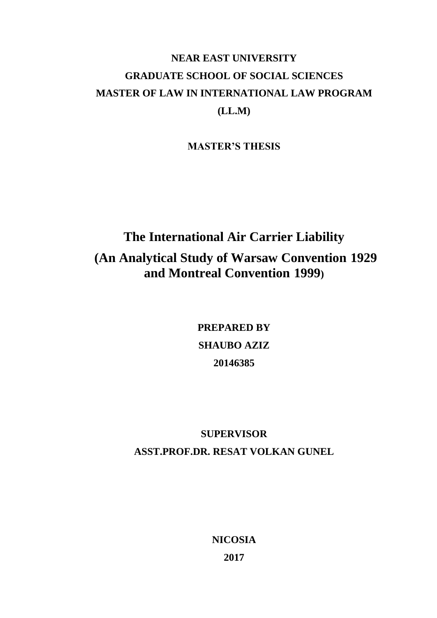# **NEAR EAST UNIVERSITY GRADUATE SCHOOL OF SOCIAL SCIENCES MASTER OF LAW IN INTERNATIONAL LAW PROGRAM (LL.M)**

**MASTER'S THESIS**

# **The International Air Carrier Liability (An Analytical Study of Warsaw Convention 1929 and Montreal Convention 1999)**

**PREPARED BY SHAUBO AZIZ 20146385**

# **SUPERVISOR ASST.PROF.DR. RESAT VOLKAN GUNEL**

**NICOSIA 2017**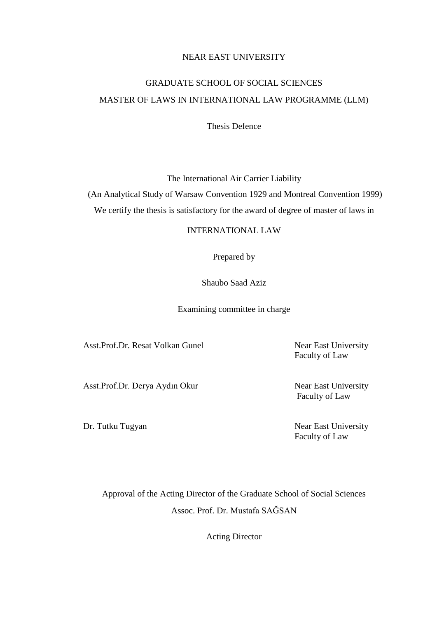# NEAR EAST UNIVERSITY

# GRADUATE SCHOOL OF SOCIAL SCIENCES MASTER OF LAWS IN INTERNATIONAL LAW PROGRAMME (LLM)

Thesis Defence

The International Air Carrier Liability

(An Analytical Study of Warsaw Convention 1929 and Montreal Convention 1999) We certify the thesis is satisfactory for the award of degree of master of laws in

# INTERNATIONAL LAW

Prepared by

Shaubo Saad Aziz

Examining committee in charge

Asst.Prof.Dr. Resat Volkan Gunel Near East University

Faculty of Law

Asst.Prof.Dr. Derya Aydın Okur Near East University

Faculty of Law

Dr. Tutku Tugyan Near East University Faculty of Law

Approval of the Acting Director of the Graduate School of Social Sciences Assoc. Prof. Dr. Mustafa SAĞSAN

Acting Director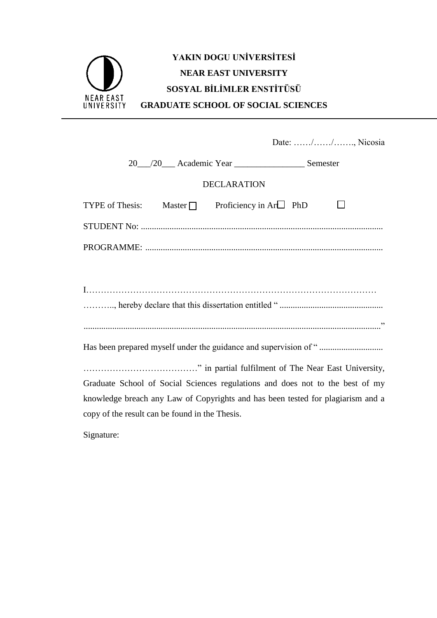# **YAKIN DOGU UNİVERSİTESİ NEAR EAST UNIVERSITY SOSYAL BİLİMLER ENSTİTÜSÜ** NEAR EAST<br>UNIVERSITY **GRADUATE SCHOOL OF SOCIAL SCIENCES**

|                                                                                 | Date: //, Nicosia |  |  |  |
|---------------------------------------------------------------------------------|-------------------|--|--|--|
|                                                                                 |                   |  |  |  |
| <b>DECLARATION</b>                                                              |                   |  |  |  |
| TYPE of Thesis: Master $\Box$ Proficiency in Ar $\Box$ PhD                      |                   |  |  |  |
|                                                                                 |                   |  |  |  |
|                                                                                 |                   |  |  |  |
|                                                                                 |                   |  |  |  |
|                                                                                 |                   |  |  |  |
|                                                                                 |                   |  |  |  |
|                                                                                 |                   |  |  |  |
|                                                                                 |                   |  |  |  |
|                                                                                 |                   |  |  |  |
| Graduate School of Social Sciences regulations and does not to the best of my   |                   |  |  |  |
| knowledge breach any Law of Copyrights and has been tested for plagiarism and a |                   |  |  |  |
| copy of the result can be found in the Thesis.                                  |                   |  |  |  |
|                                                                                 |                   |  |  |  |

Signature: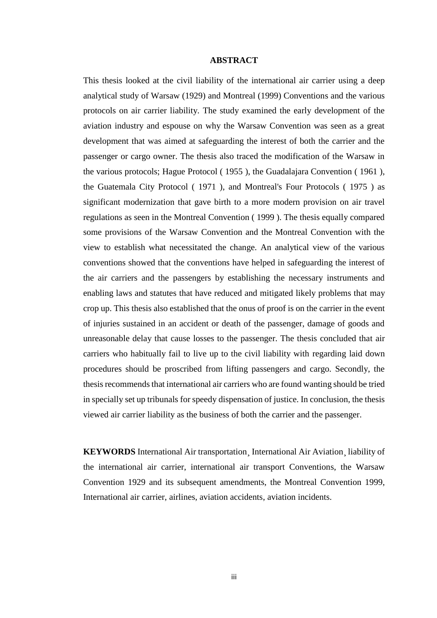### **ABSTRACT**

<span id="page-4-0"></span>This thesis looked at the civil liability of the international air carrier using a deep analytical study of Warsaw (1929) and Montreal (1999) Conventions and the various protocols on air carrier liability. The study examined the early development of the aviation industry and espouse on why the Warsaw Convention was seen as a great development that was aimed at safeguarding the interest of both the carrier and the passenger or cargo owner. The thesis also traced the modification of the Warsaw in the various protocols; Hague Protocol ( 1955 ), the Guadalajara Convention ( 1961 ), the Guatemala City Protocol ( 1971 ), and Montreal's Four Protocols ( 1975 ) as significant modernization that gave birth to a more modern provision on air travel regulations as seen in the Montreal Convention ( 1999 ). The thesis equally compared some provisions of the Warsaw Convention and the Montreal Convention with the view to establish what necessitated the change. An analytical view of the various conventions showed that the conventions have helped in safeguarding the interest of the air carriers and the passengers by establishing the necessary instruments and enabling laws and statutes that have reduced and mitigated likely problems that may crop up. This thesis also established that the onus of proof is on the carrier in the event of injuries sustained in an accident or death of the passenger, damage of goods and unreasonable delay that cause losses to the passenger. The thesis concluded that air carriers who habitually fail to live up to the civil liability with regarding laid down procedures should be proscribed from lifting passengers and cargo. Secondly, the thesis recommends that international air carriers who are found wanting should be tried in specially set up tribunals for speedy dispensation of justice. In conclusion, the thesis viewed air carrier liability as the business of both the carrier and the passenger.

<span id="page-4-1"></span>**KEYWORDS** International Air transportation¸ International Air Aviation¸ liability of the international air carrier, international air transport Conventions, the Warsaw Convention 1929 and its subsequent amendments, the Montreal Convention 1999, International air carrier, airlines, aviation accidents, aviation incidents.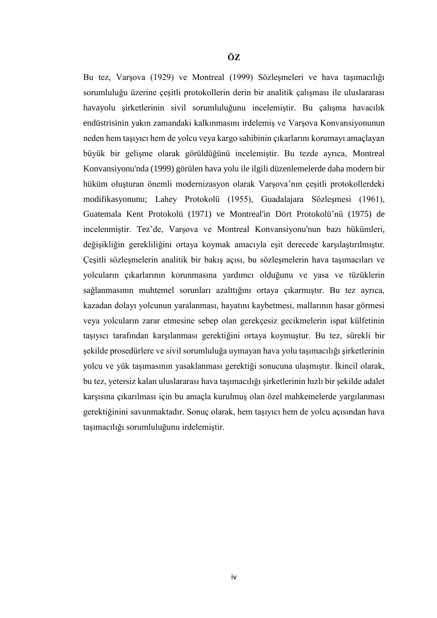Bu tez, Varşova (1929) ve Montreal (1999) Sözleşmeleri ve hava taşımacılığı sorumluluğu üzerine çeşitli protokollerin derin bir analitik çalışması ile uluslararası havayolu şirketlerinin sivil sorumluluğunu incelemiştir. Bu çalışma havacılık endüstrisinin yakın zamandaki kalkınmasını irdelemiş ve Varşova Konvansiyonunun neden hem taşıyıcı hem de yolcu veya kargo sahibinin çıkarlarını korumayı amaçlayan büyük bir gelişme olarak görüldüğünü incelemiştir. Bu tezde ayrıca, Montreal Konvansiyonu'nda (1999) görülen hava yolu ile ilgili düzenlemelerde daha modern bir hüküm oluşturan önemli modernizasyon olarak Varşova'nın çeşitli protokollerdeki modifikasyonunu; Lahey Protokolü (1955), Guadalajara Sözleşmesi (1961), Guatemala Kent Protokolü (1971) ve Montreal'in Dört Protokolü'nü (1975) de incelenmiştir. Tez'de, Varşova ve Montreal Konvansiyonu'nun bazı hükümleri, değişikliğin gerekliliğini ortaya koymak amacıyla eşit derecede karşılaştırılmıştır. Çeşitli sözleşmelerin analitik bir bakış açısı, bu sözleşmelerin hava taşımacıları ve yolcuların çıkarlarının korunmasına yardımcı olduğunu ve yasa ve tüzüklerin sağlanmasının muhtemel sorunları azalttığını ortaya çıkarmıştır. Bu tez ayrıca, kazadan dolayı yolcunun yaralanması, hayatını kaybetmesi, mallarının hasar görmesi veya yolcuların zarar etmesine sebep olan gerekçesiz gecikmelerin ispat külfetinin taşıyıcı tarafından karşılanması gerektiğini ortaya koymuştur. Bu tez, sürekli bir şekilde prosedürlere ve sivil sorumluluğa uymayan hava yolu taşımacılığı şirketlerinin yolcu ve yük taşımasının yasaklanması gerektiği sonucuna ulaşmıştır. İkincil olarak, bu tez, yetersiz kalan uluslararası hava taşımacılığı şirketlerinin hızlı bir şekilde adalet karşısına çıkarılması için bu amaçla kurulmuş olan özel mahkemelerde yargılanması gerektiğinini savunmaktadır. Sonuç olarak, hem taşıyıcı hem de yolcu açısından hava taşımacılığı sorumluluğunu irdelemiştir.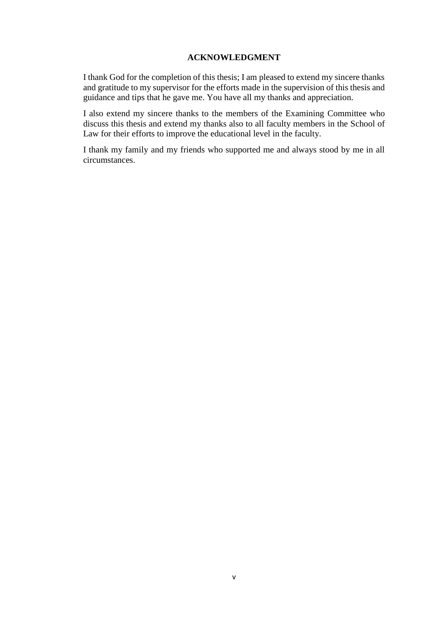### **ACKNOWLEDGMENT**

<span id="page-6-0"></span>I thank God for the completion of this thesis; I am pleased to extend my sincere thanks and gratitude to my supervisor for the efforts made in the supervision of this thesis and guidance and tips that he gave me. You have all my thanks and appreciation.

I also extend my sincere thanks to the members of the Examining Committee who discuss this thesis and extend my thanks also to all faculty members in the School of Law for their efforts to improve the educational level in the faculty.

I thank my family and my friends who supported me and always stood by me in all circumstances.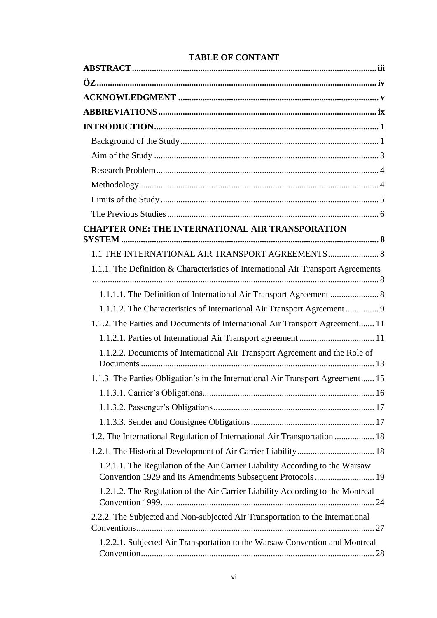| <b>CHAPTER ONE: THE INTERNATIONAL AIR TRANSPORATION</b>                           |
|-----------------------------------------------------------------------------------|
|                                                                                   |
| 1.1 THE INTERNATIONAL AIR TRANSPORT AGREEMENTS 8                                  |
| 1.1.1. The Definition & Characteristics of International Air Transport Agreements |
|                                                                                   |
| 1.1.1.2. The Characteristics of International Air Transport Agreement  9          |
| 1.1.2. The Parties and Documents of International Air Transport Agreement 11      |
|                                                                                   |
| 1.1.2.2. Documents of International Air Transport Agreement and the Role of       |
| 1.1.3. The Parties Obligation's in the International Air Transport Agreement 15   |
|                                                                                   |
|                                                                                   |
|                                                                                   |
| 1.2. The International Regulation of International Air Transportation  18         |
|                                                                                   |
| 1.2.1.1. The Regulation of the Air Carrier Liability According to the Warsaw      |
| 1.2.1.2. The Regulation of the Air Carrier Liability According to the Montreal    |
| 2.2.2. The Subjected and Non-subjected Air Transportation to the International    |
| 1.2.2.1. Subjected Air Transportation to the Warsaw Convention and Montreal       |

# **TABLE OF CONTANT**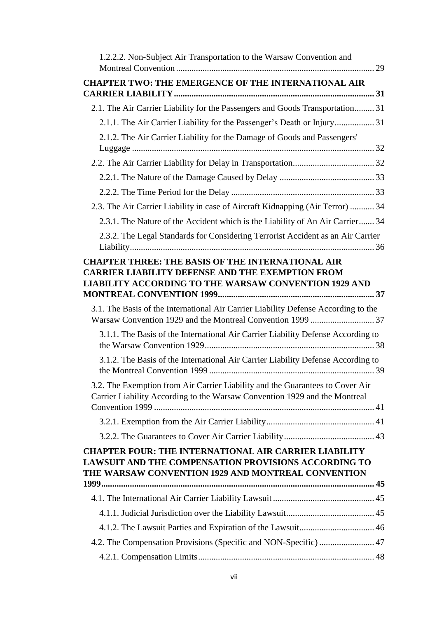| 1.2.2.2. Non-Subject Air Transportation to the Warsaw Convention and                                                                                                              |  |
|-----------------------------------------------------------------------------------------------------------------------------------------------------------------------------------|--|
| <b>CHAPTER TWO: THE EMERGENCE OF THE INTERNATIONAL AIR</b>                                                                                                                        |  |
|                                                                                                                                                                                   |  |
| 2.1. The Air Carrier Liability for the Passengers and Goods Transportation 31                                                                                                     |  |
| 2.1.1. The Air Carrier Liability for the Passenger's Death or Injury 31                                                                                                           |  |
| 2.1.2. The Air Carrier Liability for the Damage of Goods and Passengers'                                                                                                          |  |
|                                                                                                                                                                                   |  |
|                                                                                                                                                                                   |  |
|                                                                                                                                                                                   |  |
|                                                                                                                                                                                   |  |
| 2.3. The Air Carrier Liability in case of Aircraft Kidnapping (Air Terror)  34                                                                                                    |  |
| 2.3.1. The Nature of the Accident which is the Liability of An Air Carrier 34                                                                                                     |  |
| 2.3.2. The Legal Standards for Considering Terrorist Accident as an Air Carrier                                                                                                   |  |
|                                                                                                                                                                                   |  |
| <b>CHAPTER THREE: THE BASIS OF THE INTERNATIONAL AIR</b><br><b>CARRIER LIABILITY DEFENSE AND THE EXEMPTION FROM</b>                                                               |  |
| <b>LIABILITY ACCORDING TO THE WARSAW CONVENTION 1929 AND</b>                                                                                                                      |  |
|                                                                                                                                                                                   |  |
| 3.1. The Basis of the International Air Carrier Liability Defense According to the                                                                                                |  |
| 3.1.1. The Basis of the International Air Carrier Liability Defense According to                                                                                                  |  |
| 3.1.2. The Basis of the International Air Carrier Liability Defense According to                                                                                                  |  |
| 3.2. The Exemption from Air Carrier Liability and the Guarantees to Cover Air<br>Carrier Liability According to the Warsaw Convention 1929 and the Montreal                       |  |
|                                                                                                                                                                                   |  |
|                                                                                                                                                                                   |  |
| <b>CHAPTER FOUR: THE INTERNATIONAL AIR CARRIER LIABILITY</b><br><b>LAWSUIT AND THE COMPENSATION PROVISIONS ACCORDING TO</b><br>THE WARSAW CONVENTION 1929 AND MONTREAL CONVENTION |  |
|                                                                                                                                                                                   |  |
|                                                                                                                                                                                   |  |
|                                                                                                                                                                                   |  |
| 4.2. The Compensation Provisions (Specific and NON-Specific)  47                                                                                                                  |  |
|                                                                                                                                                                                   |  |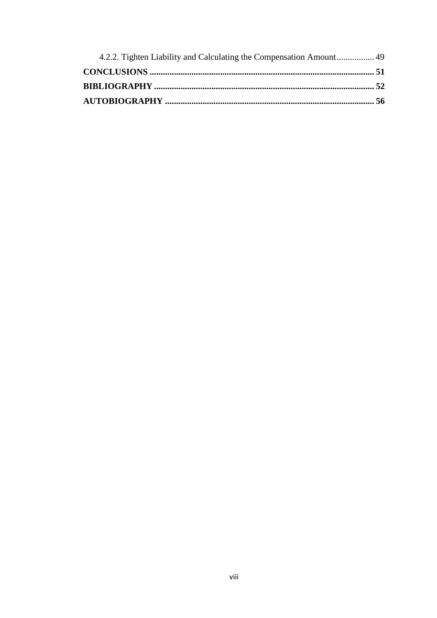<span id="page-9-0"></span>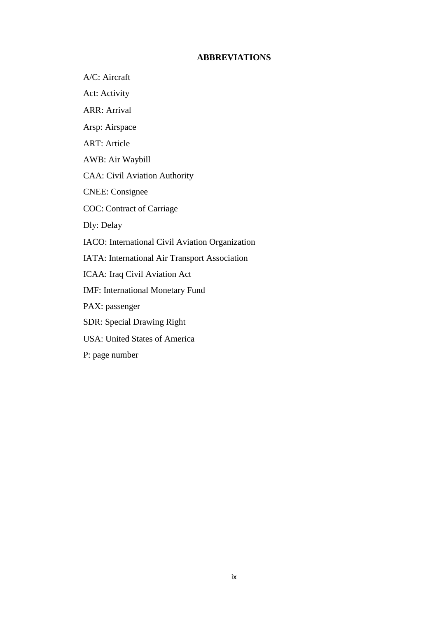# **ABBREVIATIONS**

A/C: Aircraft

Act: Activity

ARR: Arrival

Arsp: Airspace

ART: Article

AWB: Air Waybill

CAA: Civil Aviation Authority

CNEE: Consignee

COC: Contract of Carriage

Dly: Delay

IACO: International Civil Aviation Organization

IATA: International Air Transport Association

ICAA: Iraq Civil Aviation Act

IMF: International Monetary Fund

PAX: passenger

SDR: Special Drawing Right

USA: United States of America

P: page number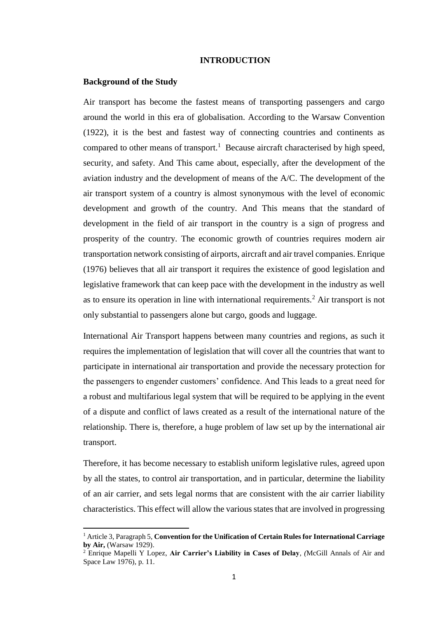#### <span id="page-11-0"></span>**INTRODUCTION**

#### <span id="page-11-1"></span>**Background of the Study**

 $\overline{\phantom{a}}$ 

Air transport has become the fastest means of transporting passengers and cargo around the world in this era of globalisation. According to the Warsaw Convention (1922), it is the best and fastest way of connecting countries and continents as compared to other means of transport.<sup>1</sup> Because aircraft characterised by high speed, security, and safety. And This came about, especially, after the development of the aviation industry and the development of means of the A/C. The development of the air transport system of a country is almost synonymous with the level of economic development and growth of the country. And This means that the standard of development in the field of air transport in the country is a sign of progress and prosperity of the country. The economic growth of countries requires modern air transportation network consisting of airports, aircraft and air travel companies. Enrique (1976) believes that all air transport it requires the existence of good legislation and legislative framework that can keep pace with the development in the industry as well as to ensure its operation in line with international requirements.<sup>2</sup> Air transport is not only substantial to passengers alone but cargo, goods and luggage.

International Air Transport happens between many countries and regions, as such it requires the implementation of legislation that will cover all the countries that want to participate in international air transportation and provide the necessary protection for the passengers to engender customers' confidence. And This leads to a great need for a robust and multifarious legal system that will be required to be applying in the event of a dispute and conflict of laws created as a result of the international nature of the relationship. There is, therefore, a huge problem of law set up by the international air transport.

Therefore, it has become necessary to establish uniform legislative rules, agreed upon by all the states, to control air transportation, and in particular, determine the liability of an air carrier, and sets legal norms that are consistent with the air carrier liability characteristics. This effect will allow the various states that are involved in progressing

<sup>1</sup> Article 3, Paragraph 5, **Convention for the Unification of Certain Rules for International Carriage by Air,** (Warsaw 1929).

<sup>2</sup> Enrique Mapelli Y Lopez, **Air Carrier's Liability in Cases of Delay***, (*McGill Annals of Air and Space Law 1976), p. 11.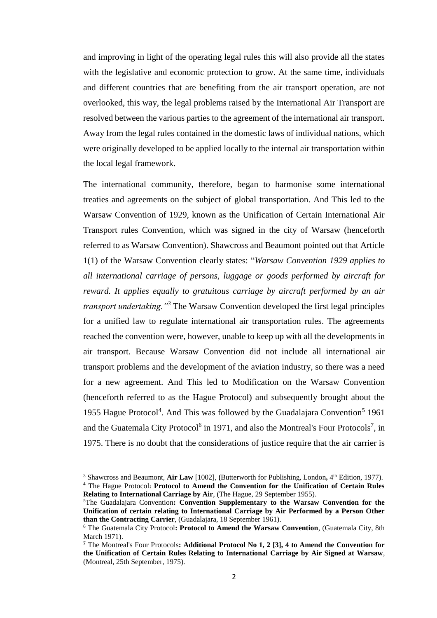and improving in light of the operating legal rules this will also provide all the states with the legislative and economic protection to grow. At the same time, individuals and different countries that are benefiting from the air transport operation, are not overlooked, this way, the legal problems raised by the International Air Transport are resolved between the various parties to the agreement of the international air transport. Away from the legal rules contained in the domestic laws of individual nations, which were originally developed to be applied locally to the internal air transportation within the local legal framework.

The international community, therefore, began to harmonise some international treaties and agreements on the subject of global transportation. And This led to the Warsaw Convention of 1929, known as the Unification of Certain International Air Transport rules Convention, which was signed in the city of Warsaw (henceforth referred to as Warsaw Convention). Shawcross and Beaumont pointed out that Article 1(1) of the Warsaw Convention clearly states: "*Warsaw Convention 1929 applies to all international carriage of persons, luggage or goods performed by aircraft for reward. It applies equally to gratuitous carriage by aircraft performed by an air transport undertaking."<sup>3</sup>* The Warsaw Convention developed the first legal principles for a unified law to regulate international air transportation rules. The agreements reached the convention were, however, unable to keep up with all the developments in air transport. Because Warsaw Convention did not include all international air transport problems and the development of the aviation industry, so there was a need for a new agreement. And This led to Modification on the Warsaw Convention (henceforth referred to as the Hague Protocol) and subsequently brought about the 1955 Hague Protocol<sup>4</sup>. And This was followed by the Guadalajara Convention<sup>5</sup> 1961 and the Guatemala City Protocol<sup>6</sup> in 1971, and also the Montreal's Four Protocols<sup>7</sup>, in 1975. There is no doubt that the considerations of justice require that the air carrier is

<sup>3</sup> Shawcross and Beaumont, **Air Law** [1002], **(**Butterworth for Publishing**,** London**,** 4 th Edition, 1977). **<sup>4</sup>** The Hague Protocol**: Protocol to Amend the Convention for the Unification of Certain Rules** 

**Relating to International Carriage by Air**, (The Hague, 29 September 1955).

<sup>5</sup>The Guadalajara Convention**: Convention Supplementary to the Warsaw Convention for the Unification of certain relating to International Carriage by Air Performed by a Person Other than the Contracting Carrier**, (Guadalajara, 18 September 1961).

<sup>6</sup> The Guatemala City Protocol**: Protocol to Amend the Warsaw Convention**, (Guatemala City, 8th March 1971).

**<sup>7</sup>** The Montreal's Four Protocols**: Additional Protocol No 1, 2 [3], 4 to Amend the Convention for the Unification of Certain Rules Relating to International Carriage by Air Signed at Warsaw**, (Montreal, 25th September, 1975).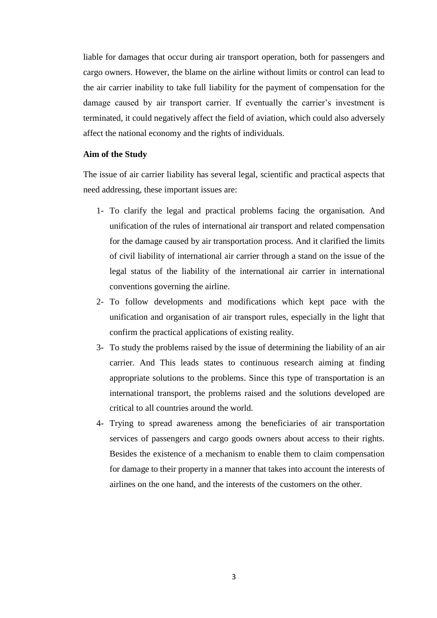liable for damages that occur during air transport operation, both for passengers and cargo owners. However, the blame on the airline without limits or control can lead to the air carrier inability to take full liability for the payment of compensation for the damage caused by air transport carrier. If eventually the carrier's investment is terminated, it could negatively affect the field of aviation, which could also adversely affect the national economy and the rights of individuals.

#### <span id="page-13-0"></span>**Aim of the Study**

The issue of air carrier liability has several legal, scientific and practical aspects that need addressing, these important issues are:

- 1- To clarify the legal and practical problems facing the organisation. And unification of the rules of international air transport and related compensation for the damage caused by air transportation process. And it clarified the limits of civil liability of international air carrier through a stand on the issue of the legal status of the liability of the international air carrier in international conventions governing the airline.
- 2- To follow developments and modifications which kept pace with the unification and organisation of air transport rules, especially in the light that confirm the practical applications of existing reality.
- 3- To study the problems raised by the issue of determining the liability of an air carrier. And This leads states to continuous research aiming at finding appropriate solutions to the problems. Since this type of transportation is an international transport, the problems raised and the solutions developed are critical to all countries around the world.
- 4- Trying to spread awareness among the beneficiaries of air transportation services of passengers and cargo goods owners about access to their rights. Besides the existence of a mechanism to enable them to claim compensation for damage to their property in a manner that takes into account the interests of airlines on the one hand, and the interests of the customers on the other.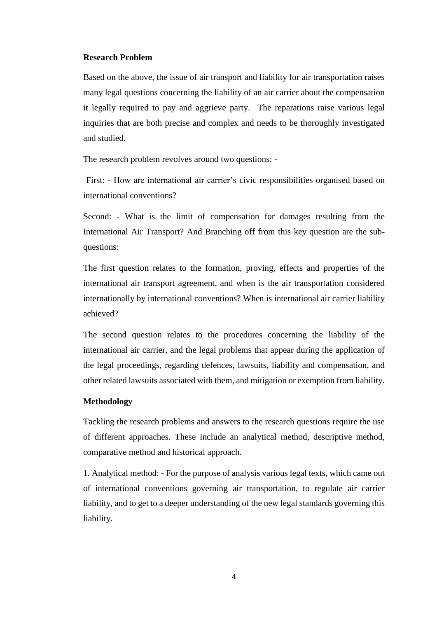#### <span id="page-14-0"></span>**Research Problem**

Based on the above, the issue of air transport and liability for air transportation raises many legal questions concerning the liability of an air carrier about the compensation it legally required to pay and aggrieve party. The reparations raise various legal inquiries that are both precise and complex and needs to be thoroughly investigated and studied.

The research problem revolves around two questions: -

First: - How are international air carrier's civic responsibilities organised based on international conventions?

Second: - What is the limit of compensation for damages resulting from the International Air Transport? And Branching off from this key question are the subquestions:

The first question relates to the formation, proving, effects and properties of the international air transport agreement, and when is the air transportation considered internationally by international conventions? When is international air carrier liability achieved?

The second question relates to the procedures concerning the liability of the international air carrier, and the legal problems that appear during the application of the legal proceedings, regarding defences, lawsuits, liability and compensation, and other related lawsuits associated with them, and mitigation or exemption from liability.

# <span id="page-14-1"></span>**Methodology**

Tackling the research problems and answers to the research questions require the use of different approaches. These include an analytical method, descriptive method, comparative method and historical approach.

1. Analytical method: - For the purpose of analysis various legal texts, which came out of international conventions governing air transportation, to regulate air carrier liability, and to get to a deeper understanding of the new legal standards governing this liability.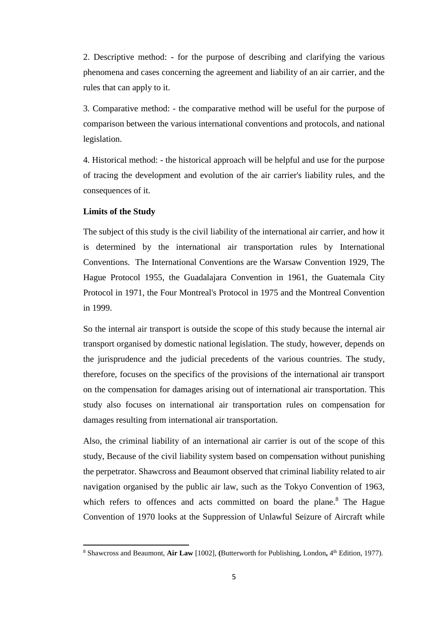2. Descriptive method: - for the purpose of describing and clarifying the various phenomena and cases concerning the agreement and liability of an air carrier, and the rules that can apply to it.

3. Comparative method: - the comparative method will be useful for the purpose of comparison between the various international conventions and protocols, and national legislation.

4. Historical method: - the historical approach will be helpful and use for the purpose of tracing the development and evolution of the air carrier's liability rules, and the consequences of it.

#### <span id="page-15-0"></span>**Limits of the Study**

 $\overline{a}$ 

The subject of this study is the civil liability of the international air carrier, and how it is determined by the international air transportation rules by International Conventions. The International Conventions are the Warsaw Convention 1929, The Hague Protocol 1955, the Guadalajara Convention in 1961, the Guatemala City Protocol in 1971, the Four Montreal's Protocol in 1975 and the Montreal Convention in 1999.

So the internal air transport is outside the scope of this study because the internal air transport organised by domestic national legislation. The study, however, depends on the jurisprudence and the judicial precedents of the various countries. The study, therefore, focuses on the specifics of the provisions of the international air transport on the compensation for damages arising out of international air transportation. This study also focuses on international air transportation rules on compensation for damages resulting from international air transportation.

Also, the criminal liability of an international air carrier is out of the scope of this study, Because of the civil liability system based on compensation without punishing the perpetrator. Shawcross and Beaumont observed that criminal liability related to air navigation organised by the public air law, such as the Tokyo Convention of 1963, which refers to offences and acts committed on board the plane. $8$  The Hague Convention of 1970 looks at the Suppression of Unlawful Seizure of Aircraft while

<sup>8</sup> Shawcross and Beaumont, **Air Law** [1002], **(**Butterworth for Publishing**,** London**,** 4 th Edition, 1977).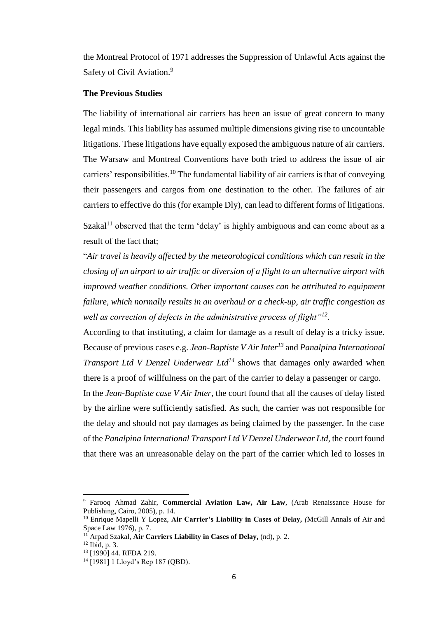the Montreal Protocol of 1971 addresses the Suppression of Unlawful Acts against the Safety of Civil Aviation.<sup>9</sup>

### <span id="page-16-0"></span>**The Previous Studies**

The liability of international air carriers has been an issue of great concern to many legal minds. This liability has assumed multiple dimensions giving rise to uncountable litigations. These litigations have equally exposed the ambiguous nature of air carriers. The Warsaw and Montreal Conventions have both tried to address the issue of air carriers' responsibilities.<sup>10</sup> The fundamental liability of air carriers is that of conveying their passengers and cargos from one destination to the other. The failures of air carriers to effective do this (for example Dly), can lead to different forms of litigations.

Szakal<sup>11</sup> observed that the term 'delay' is highly ambiguous and can come about as a result of the fact that;

"*Air travel is heavily affected by the meteorological conditions which can result in the closing of an airport to air traffic or diversion of a flight to an alternative airport with improved weather conditions. Other important causes can be attributed to equipment failure, which normally results in an overhaul or a check-up, air traffic congestion as well as correction of defects in the administrative process of flight"<sup>12</sup> .* 

According to that instituting, a claim for damage as a result of delay is a tricky issue. Because of previous cases e.g. *Jean-Baptiste V Air Inter<sup>13</sup>* and *Panalpina International Transport Ltd V Denzel Underwear Ltd<sup>14</sup>* shows that damages only awarded when there is a proof of willfulness on the part of the carrier to delay a passenger or cargo.

In the *Jean-Baptiste case V Air Inter*, the court found that all the causes of delay listed by the airline were sufficiently satisfied. As such, the carrier was not responsible for the delay and should not pay damages as being claimed by the passenger. In the case of the *Panalpina International Transport Ltd V Denzel Underwear Ltd*, the court found that there was an unreasonable delay on the part of the carrier which led to losses in

<sup>9</sup> Farooq Ahmad Zahir, **Commercial Aviation Law, Air Law**, (Arab Renaissance House for Publishing, Cairo, 2005), p. 14.

<sup>10</sup> Enrique Mapelli Y Lopez, **Air Carrier's Liability in Cases of Delay***, (*McGill Annals of Air and Space Law 1976), p. 7.

<sup>11</sup> Arpad Szakal, **Air Carriers Liability in Cases of Delay,** (nd), p. 2.

 $12$  Ibid, p. 3.

<sup>13</sup> [1990] 44. RFDA 219.

<sup>14</sup> [1981] 1 Lloyd's Rep 187 (QBD).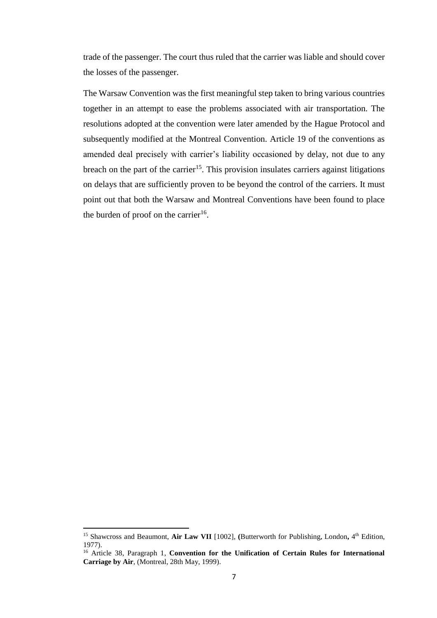trade of the passenger. The court thus ruled that the carrier was liable and should cover the losses of the passenger.

The Warsaw Convention was the first meaningful step taken to bring various countries together in an attempt to ease the problems associated with air transportation. The resolutions adopted at the convention were later amended by the Hague Protocol and subsequently modified at the Montreal Convention. Article 19 of the conventions as amended deal precisely with carrier's liability occasioned by delay, not due to any breach on the part of the carrier<sup>15</sup>. This provision insulates carriers against litigations on delays that are sufficiently proven to be beyond the control of the carriers. It must point out that both the Warsaw and Montreal Conventions have been found to place the burden of proof on the carrier<sup>16</sup>.

 $\overline{\phantom{a}}$ 

<sup>&</sup>lt;sup>15</sup> Shawcross and Beaumont, Air Law VII [1002], (Butterworth for Publishing, London, 4<sup>th</sup> Edition, 1977).

<sup>&</sup>lt;sup>16</sup> Article 38, Paragraph 1, Convention for the Unification of Certain Rules for International **Carriage by Air**, (Montreal, 28th May, 1999).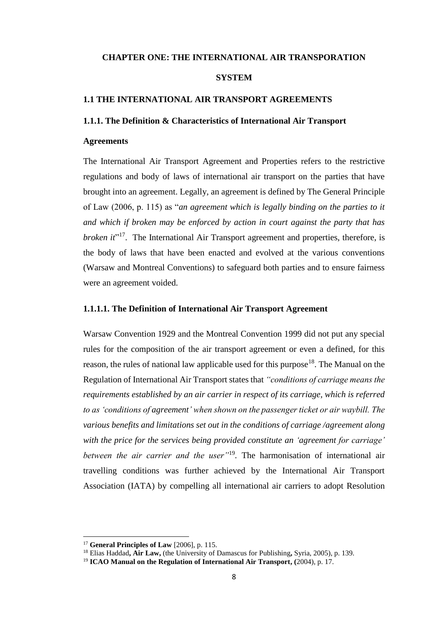#### <span id="page-18-0"></span>**CHAPTER ONE: THE INTERNATIONAL AIR TRANSPORATION**

## **SYSTEM**

#### <span id="page-18-1"></span>**1.1 THE INTERNATIONAL AIR TRANSPORT AGREEMENTS**

### <span id="page-18-2"></span>**1.1.1. The Definition & Characteristics of International Air Transport**

### **Agreements**

The International Air Transport Agreement and Properties refers to the restrictive regulations and body of laws of international air transport on the parties that have brought into an agreement. Legally, an agreement is defined by The General Principle of Law (2006, p. 115) as "*an agreement which is legally binding on the parties to it and which if broken may be enforced by action in court against the party that has broken it*<sup>217</sup>. The International Air Transport agreement and properties, therefore, is the body of laws that have been enacted and evolved at the various conventions (Warsaw and Montreal Conventions) to safeguard both parties and to ensure fairness were an agreement voided.

#### <span id="page-18-3"></span>**1.1.1.1. The Definition of International Air Transport Agreement**

Warsaw Convention 1929 and the Montreal Convention 1999 did not put any special rules for the composition of the air transport agreement or even a defined, for this reason, the rules of national law applicable used for this purpose<sup>18</sup>. The Manual on the Regulation of International Air Transport states that *"conditions of carriage means the requirements established by an air carrier in respect of its carriage, which is referred to as 'conditions of agreement' when shown on the passenger ticket or air waybill. The various benefits and limitations set out in the conditions of carriage /agreement along with the price for the services being provided constitute an 'agreement for carriage' between the air carrier and the user"*<sup>19</sup> *.* The harmonisation of international air travelling conditions was further achieved by the International Air Transport Association (IATA) by compelling all international air carriers to adopt Resolution

<sup>17</sup> **General Principles of Law** [2006], p. 115.

<sup>18</sup> Elias Haddad**, Air Law,** (the University of Damascus for Publishing**,** Syria, 2005), p. 139.

<sup>19</sup> **ICAO Manual on the Regulation of International Air Transport, (**2004), p. 17.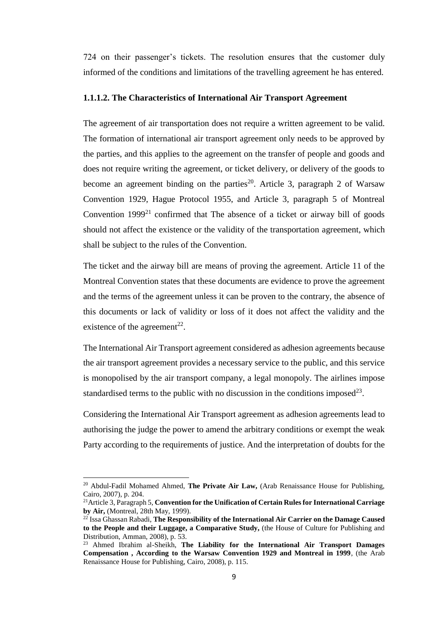724 on their passenger's tickets. The resolution ensures that the customer duly informed of the conditions and limitations of the travelling agreement he has entered.

#### <span id="page-19-0"></span>**1.1.1.2. The Characteristics of International Air Transport Agreement**

The agreement of air transportation does not require a written agreement to be valid. The formation of international air transport agreement only needs to be approved by the parties, and this applies to the agreement on the transfer of people and goods and does not require writing the agreement, or ticket delivery, or delivery of the goods to become an agreement binding on the parties<sup>20</sup>. Article 3, paragraph 2 of Warsaw Convention 1929, Hague Protocol 1955, and Article 3, paragraph 5 of Montreal Convention  $1999<sup>21</sup>$  confirmed that The absence of a ticket or airway bill of goods should not affect the existence or the validity of the transportation agreement, which shall be subject to the rules of the Convention.

The ticket and the airway bill are means of proving the agreement. Article 11 of the Montreal Convention states that these documents are evidence to prove the agreement and the terms of the agreement unless it can be proven to the contrary, the absence of this documents or lack of validity or loss of it does not affect the validity and the existence of the agreement<sup>22</sup>.

The International Air Transport agreement considered as adhesion agreements because the air transport agreement provides a necessary service to the public, and this service is monopolised by the air transport company, a legal monopoly. The airlines impose standardised terms to the public with no discussion in the conditions imposed<sup>23</sup>.

Considering the International Air Transport agreement as adhesion agreements lead to authorising the judge the power to amend the arbitrary conditions or exempt the weak Party according to the requirements of justice. And the interpretation of doubts for the

<sup>20</sup> Abdul-Fadil Mohamed Ahmed, **The Private Air Law,** (Arab Renaissance House for Publishing, Cairo, 2007), p. 204.

<sup>21</sup>Article 3, Paragraph 5, **Convention for the Unification of Certain Rules for International Carriage by Air,** (Montreal, 28th May, 1999).

<sup>22</sup> Issa Ghassan Rabadi, **The Responsibility of the International Air Carrier on the Damage Caused to the People and their Luggage, a Comparative Study,** (the House of Culture for Publishing and Distribution, Amman, 2008), p. 53.

<sup>23</sup> Ahmed Ibrahim al-Sheikh, **The Liability for the International Air Transport Damages Compensation , According to the Warsaw Convention 1929 and Montreal in 1999**, (the Arab Renaissance House for Publishing, Cairo, 2008), p. 115.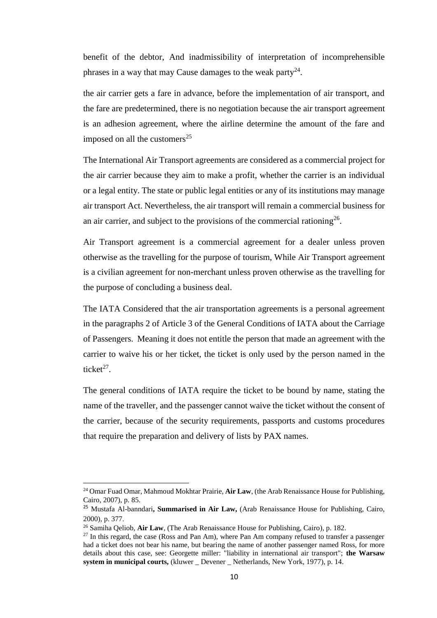benefit of the debtor, And inadmissibility of interpretation of incomprehensible phrases in a way that may Cause damages to the weak party $^{24}$ .

the air carrier gets a fare in advance, before the implementation of air transport, and the fare are predetermined, there is no negotiation because the air transport agreement is an adhesion agreement, where the airline determine the amount of the fare and imposed on all the customers $^{25}$ 

The International Air Transport agreements are considered as a commercial project for the air carrier because they aim to make a profit, whether the carrier is an individual or a legal entity. The state or public legal entities or any of its institutions may manage air transport Act. Nevertheless, the air transport will remain a commercial business for an air carrier, and subject to the provisions of the commercial rationing<sup>26</sup>.

Air Transport agreement is a commercial agreement for a dealer unless proven otherwise as the travelling for the purpose of tourism, While Air Transport agreement is a civilian agreement for non-merchant unless proven otherwise as the travelling for the purpose of concluding a business deal.

The IATA Considered that the air transportation agreements is a personal agreement in the paragraphs 2 of Article 3 of the General Conditions of IATA about the Carriage of Passengers. Meaning it does not entitle the person that made an agreement with the carrier to waive his or her ticket, the ticket is only used by the person named in the ticket $27$ .

The general conditions of IATA require the ticket to be bound by name, stating the name of the traveller, and the passenger cannot waive the ticket without the consent of the carrier, because of the security requirements, passports and customs procedures that require the preparation and delivery of lists by PAX names.

<sup>24</sup> Omar Fuad Omar, Mahmoud Mokhtar Prairie, **Air Law**, (the Arab Renaissance House for Publishing, Cairo, 2007), p. 85.

<sup>25</sup> Mustafa Al-banndari**, Summarised in Air Law,** (Arab Renaissance House for Publishing, Cairo, 2000), p. 377.

<sup>26</sup> Samiha Qeliob, **Air Law**, (The Arab Renaissance House for Publishing, Cairo), p. 182.

 $27$  In this regard, the case (Ross and Pan Am), where Pan Am company refused to transfer a passenger had a ticket does not bear his name, but bearing the name of another passenger named Ross, for more details about this case, see: Georgette miller: "liability in international air transport"; **the Warsaw system in municipal courts,** (kluwer \_ Devener \_ Netherlands, New York, 1977), p. 14.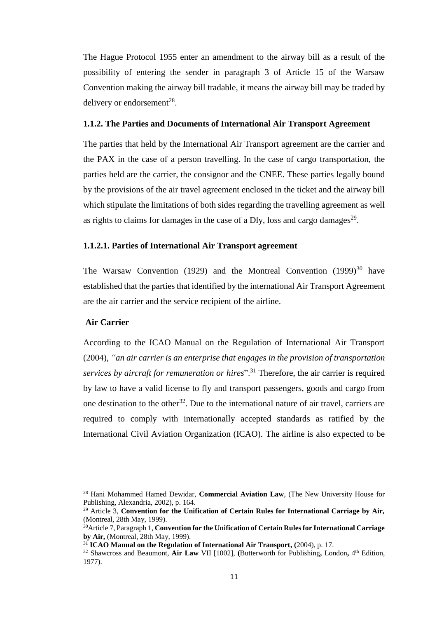The Hague Protocol 1955 enter an amendment to the airway bill as a result of the possibility of entering the sender in paragraph 3 of Article 15 of the Warsaw Convention making the airway bill tradable, it means the airway bill may be traded by delivery or endorsement<sup>28</sup>.

#### <span id="page-21-0"></span>**1.1.2. The Parties and Documents of International Air Transport Agreement**

The parties that held by the International Air Transport agreement are the carrier and the PAX in the case of a person travelling. In the case of cargo transportation, the parties held are the carrier, the consignor and the CNEE. These parties legally bound by the provisions of the air travel agreement enclosed in the ticket and the airway bill which stipulate the limitations of both sides regarding the travelling agreement as well as rights to claims for damages in the case of a Dly, loss and cargo damages<sup>29</sup>.

### <span id="page-21-1"></span>**1.1.2.1. Parties of International Air Transport agreement**

The Warsaw Convention (1929) and the Montreal Convention (1999)<sup>30</sup> have established that the parties that identified by the international Air Transport Agreement are the air carrier and the service recipient of the airline.

#### **Air Carrier**

 $\overline{a}$ 

According to the ICAO Manual on the Regulation of International Air Transport (2004), *"an air carrier is an enterprise that engages in the provision of transportation services by aircraft for remuneration or hires*<sup>", 31</sup> Therefore, the air carrier is required by law to have a valid license to fly and transport passengers, goods and cargo from one destination to the other<sup>32</sup>. Due to the international nature of air travel, carriers are required to comply with internationally accepted standards as ratified by the International Civil Aviation Organization (ICAO). The airline is also expected to be

<sup>28</sup> Hani Mohammed Hamed Dewidar, **Commercial Aviation Law**, (The New University House for Publishing, Alexandria, 2002), p. 164.

<sup>29</sup> Article 3, **Convention for the Unification of Certain Rules for International Carriage by Air,** (Montreal, 28th May, 1999).

<sup>30</sup>Article 7, Paragraph 1, **Convention for the Unification of Certain Rules for International Carriage by Air,** (Montreal, 28th May, 1999).

<sup>31</sup> **ICAO Manual on the Regulation of International Air Transport, (**2004), p. 17.

<sup>32</sup> Shawcross and Beaumont, **Air Law** VII [1002], **(**Butterworth for Publishing**,** London**,** 4 th Edition, 1977).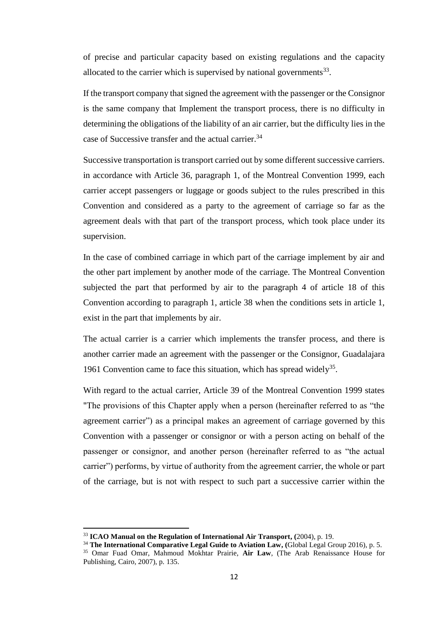of precise and particular capacity based on existing regulations and the capacity allocated to the carrier which is supervised by national governments $^{33}$ .

If the transport company that signed the agreement with the passenger or the Consignor is the same company that Implement the transport process, there is no difficulty in determining the obligations of the liability of an air carrier, but the difficulty lies in the case of Successive transfer and the actual carrier.<sup>34</sup>

Successive transportation is transport carried out by some different successive carriers. in accordance with Article 36, paragraph 1, of the Montreal Convention 1999, each carrier accept passengers or luggage or goods subject to the rules prescribed in this Convention and considered as a party to the agreement of carriage so far as the agreement deals with that part of the transport process, which took place under its supervision.

In the case of combined carriage in which part of the carriage implement by air and the other part implement by another mode of the carriage. The Montreal Convention subjected the part that performed by air to the paragraph 4 of article 18 of this Convention according to paragraph 1, article 38 when the conditions sets in article 1, exist in the part that implements by air.

The actual carrier is a carrier which implements the transfer process, and there is another carrier made an agreement with the passenger or the Consignor, Guadalajara 1961 Convention came to face this situation, which has spread widely<sup>35</sup>.

With regard to the actual carrier, Article 39 of the Montreal Convention 1999 states "The provisions of this Chapter apply when a person (hereinafter referred to as "the agreement carrier") as a principal makes an agreement of carriage governed by this Convention with a passenger or consignor or with a person acting on behalf of the passenger or consignor, and another person (hereinafter referred to as "the actual carrier") performs, by virtue of authority from the agreement carrier, the whole or part of the carriage, but is not with respect to such part a successive carrier within the

 $\overline{\phantom{a}}$ 

<sup>33</sup> **ICAO Manual on the Regulation of International Air Transport, (**2004), p. 19.

<sup>34</sup> **The International Comparative Legal Guide to Aviation Law, (**Global Legal Group 2016), p. 5. <sup>35</sup> Omar Fuad Omar, Mahmoud Mokhtar Prairie, **Air Law**, (The Arab Renaissance House for Publishing, Cairo, 2007), p. 135.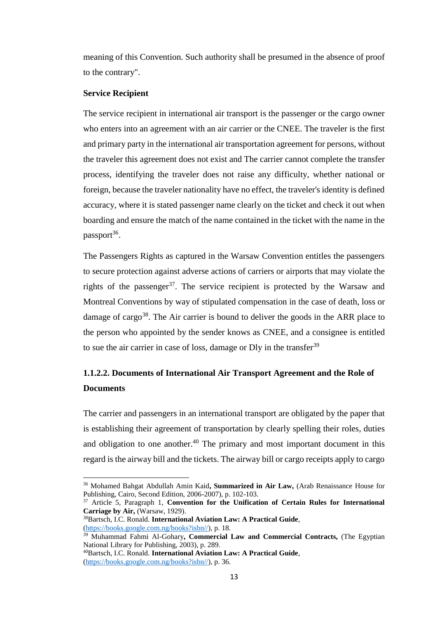meaning of this Convention. Such authority shall be presumed in the absence of proof to the contrary".

# **Service Recipient**

 $\overline{a}$ 

The service recipient in international air transport is the passenger or the cargo owner who enters into an agreement with an air carrier or the CNEE. The traveler is the first and primary party in the international air transportation agreement for persons, without the traveler this agreement does not exist and The carrier cannot complete the transfer process, identifying the traveler does not raise any difficulty, whether national or foreign, because the traveler nationality have no effect, the traveler's identity is defined accuracy, where it is stated passenger name clearly on the ticket and check it out when boarding and ensure the match of the name contained in the ticket with the name in the passport<sup>36</sup>.

The Passengers Rights as captured in the Warsaw Convention entitles the passengers to secure protection against adverse actions of carriers or airports that may violate the rights of the passenger<sup>37</sup>. The service recipient is protected by the Warsaw and Montreal Conventions by way of stipulated compensation in the case of death, loss or damage of cargo<sup>38</sup>. The Air carrier is bound to deliver the goods in the ARR place to the person who appointed by the sender knows as CNEE, and a consignee is entitled to sue the air carrier in case of loss, damage or Dly in the transfer<sup>39</sup>

# <span id="page-23-0"></span>**1.1.2.2. Documents of International Air Transport Agreement and the Role of Documents**

The carrier and passengers in an international transport are obligated by the paper that is establishing their agreement of transportation by clearly spelling their roles, duties and obligation to one another.<sup>40</sup> The primary and most important document in this regard is the airway bill and the tickets. The airway bill or cargo receipts apply to cargo

<sup>36</sup> Mohamed Bahgat Abdullah Amin Kaid**, Summarized in Air Law,** (Arab Renaissance House for Publishing, Cairo, Second Edition, 2006-2007), p. 102-103.

<sup>37</sup> Article 5, Paragraph 1, **Convention for the Unification of Certain Rules for International Carriage by Air,** (Warsaw, 1929).

<sup>38</sup>Bartsch, I.C. Ronald. **International Aviation Law: A Practical Guide**, [\(https://books.google.com.ng/books?isbn//\)](https://books.google.com.ng/books?isbn//), p. 18.

<sup>&</sup>lt;sup>39</sup> Muhammad Fahmi Al-Gohary, Commercial Law and Commercial Contracts, (The Egyptian National Library for Publishing, 2003), p. 289.

<sup>40</sup>Bartsch, I.C. Ronald. **International Aviation Law: A Practical Guide**, [\(https://books.google.com.ng/books?isbn//\)](https://books.google.com.ng/books?isbn//), p. 36.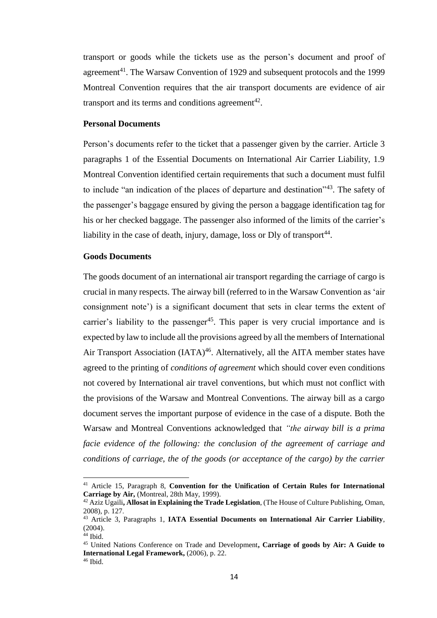transport or goods while the tickets use as the person's document and proof of agreement<sup>41</sup>. The Warsaw Convention of 1929 and subsequent protocols and the 1999 Montreal Convention requires that the air transport documents are evidence of air transport and its terms and conditions agreement<sup>42</sup>.

#### **Personal Documents**

Person's documents refer to the ticket that a passenger given by the carrier. Article 3 paragraphs 1 of the Essential Documents on International Air Carrier Liability, 1.9 Montreal Convention identified certain requirements that such a document must fulfil to include "an indication of the places of departure and destination"<sup>43</sup>. The safety of the passenger's baggage ensured by giving the person a baggage identification tag for his or her checked baggage. The passenger also informed of the limits of the carrier's liability in the case of death, injury, damage, loss or Dly of transport<sup>44</sup>.

# **Goods Documents**

The goods document of an international air transport regarding the carriage of cargo is crucial in many respects. The airway bill (referred to in the Warsaw Convention as 'air consignment note') is a significant document that sets in clear terms the extent of carrier's liability to the passenger<sup>45</sup>. This paper is very crucial importance and is expected by law to include all the provisions agreed by all the members of International Air Transport Association (IATA)<sup>46</sup>. Alternatively, all the AITA member states have agreed to the printing of *conditions of agreement* which should cover even conditions not covered by International air travel conventions, but which must not conflict with the provisions of the Warsaw and Montreal Conventions. The airway bill as a cargo document serves the important purpose of evidence in the case of a dispute. Both the Warsaw and Montreal Conventions acknowledged that *"the airway bill is a prima facie evidence of the following: the conclusion of the agreement of carriage and conditions of carriage, the of the goods (or acceptance of the cargo) by the carrier* 

<sup>41</sup> Article 15, Paragraph 8, **Convention for the Unification of Certain Rules for International Carriage by Air,** (Montreal, 28th May, 1999).

<sup>42</sup> Aziz Ugaili**, Allosat in Explaining the Trade Legislation**, (The House of Culture Publishing, Oman, 2008), p. 127.

<sup>43</sup> Article 3, Paragraphs 1, **IATA Essential Documents on International Air Carrier Liability**, (2004).

 $44$  Ibid.

<sup>45</sup> United Nations Conference on Trade and Development**, Carriage of goods by Air: A Guide to International Legal Framework,** (2006), p. 22.

<sup>46</sup> Ibid.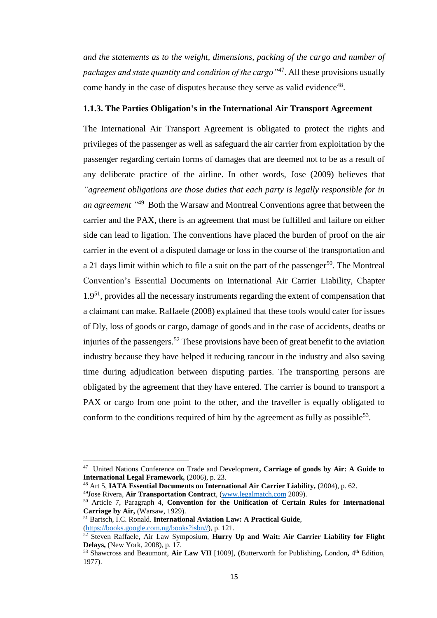*and the statements as to the weight, dimensions, packing of the cargo and number of packages and state quantity and condition of the cargo"*<sup>47</sup> . All these provisions usually come handy in the case of disputes because they serve as valid evidence<sup>48</sup>.

## <span id="page-25-0"></span>**1.1.3. The Parties Obligation's in the International Air Transport Agreement**

The International Air Transport Agreement is obligated to protect the rights and privileges of the passenger as well as safeguard the air carrier from exploitation by the passenger regarding certain forms of damages that are deemed not to be as a result of any deliberate practice of the airline. In other words, Jose (2009) believes that *"agreement obligations are those duties that each party is legally responsible for in an agreement "* 49 Both the Warsaw and Montreal Conventions agree that between the carrier and the PAX, there is an agreement that must be fulfilled and failure on either side can lead to ligation. The conventions have placed the burden of proof on the air carrier in the event of a disputed damage or loss in the course of the transportation and a 21 days limit within which to file a suit on the part of the passenger<sup>50</sup>. The Montreal Convention's Essential Documents on International Air Carrier Liability, Chapter  $1.9<sup>51</sup>$ , provides all the necessary instruments regarding the extent of compensation that a claimant can make. Raffaele (2008) explained that these tools would cater for issues of Dly, loss of goods or cargo, damage of goods and in the case of accidents, deaths or injuries of the passengers.<sup>52</sup> These provisions have been of great benefit to the aviation industry because they have helped it reducing rancour in the industry and also saving time during adjudication between disputing parties. The transporting persons are obligated by the agreement that they have entered. The carrier is bound to transport a PAX or cargo from one point to the other, and the traveller is equally obligated to conform to the conditions required of him by the agreement as fully as possible<sup>53</sup>.

[\(https://books.google.com.ng/books?isbn//\)](https://books.google.com.ng/books?isbn//), p. 121.

<sup>47</sup> United Nations Conference on Trade and Development**, Carriage of goods by Air: A Guide to International Legal Framework,** (2006), p. 23.

<sup>48</sup> Art 5, **IATA Essential Documents on International Air Carrier Liability,** (2004), p. 62.

<sup>49</sup>Jose Rivera, **Air Transportation Contrac**t, [\(www.legalmatch.com](http://www.legalmatch.com/) 2009).

<sup>50</sup> Article 7, Paragraph 4, **Convention for the Unification of Certain Rules for International Carriage by Air,** (Warsaw, 1929).

<sup>51</sup> Bartsch, I.C. Ronald. **International Aviation Law: A Practical Guide**,

<sup>52</sup> Steven Raffaele, Air Law Symposium, **Hurry Up and Wait: Air Carrier Liability for Flight Delays,** (New York, 2008), p. 17.

<sup>53</sup> Shawcross and Beaumont, **Air Law VII** [1009], **(**Butterworth for Publishing**,** London**,** 4 th Edition, 1977).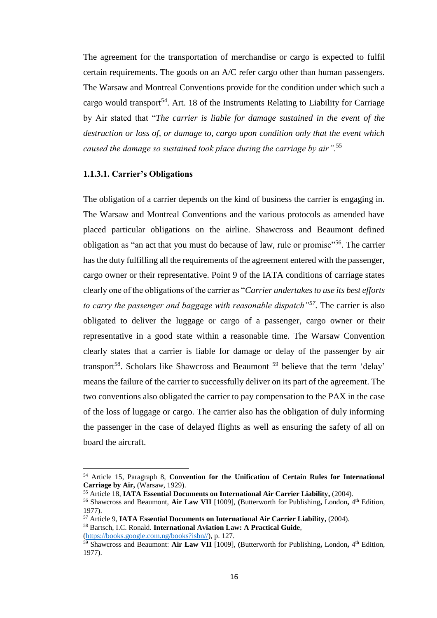The agreement for the transportation of merchandise or cargo is expected to fulfil certain requirements. The goods on an A/C refer cargo other than human passengers. The Warsaw and Montreal Conventions provide for the condition under which such a cargo would transport<sup>54</sup>. Art. 18 of the Instruments Relating to Liability for Carriage by Air stated that "*The carrier is liable for damage sustained in the event of the destruction or loss of, or damage to, cargo upon condition only that the event which caused the damage so sustained took place during the carriage by air".*<sup>55</sup>

### <span id="page-26-0"></span>**1.1.3.1. Carrier's Obligations**

The obligation of a carrier depends on the kind of business the carrier is engaging in. The Warsaw and Montreal Conventions and the various protocols as amended have placed particular obligations on the airline. Shawcross and Beaumont defined obligation as "an act that you must do because of law, rule or promise"<sup>56</sup>. The carrier has the duty fulfilling all the requirements of the agreement entered with the passenger, cargo owner or their representative. Point 9 of the IATA conditions of carriage states clearly one of the obligations of the carrier as "*Carrier undertakes to use its best efforts to carry the passenger and baggage with reasonable dispatch"<sup>57</sup> .* The carrier is also obligated to deliver the luggage or cargo of a passenger, cargo owner or their representative in a good state within a reasonable time. The Warsaw Convention clearly states that a carrier is liable for damage or delay of the passenger by air transport<sup>58</sup>. Scholars like Shawcross and Beaumont  $59$  believe that the term 'delay' means the failure of the carrier to successfully deliver on its part of the agreement. The two conventions also obligated the carrier to pay compensation to the PAX in the case of the loss of luggage or cargo. The carrier also has the obligation of duly informing the passenger in the case of delayed flights as well as ensuring the safety of all on board the aircraft.

<sup>54</sup> Article 15, Paragraph 8, **Convention for the Unification of Certain Rules for International Carriage by Air,** (Warsaw, 1929).

<sup>55</sup> Article 18, **IATA Essential Documents on International Air Carrier Liability,** (2004).

<sup>56</sup> Shawcross and Beaumont, **Air Law VII** [1009], **(**Butterworth for Publishing**,** London**,** 4 th Edition, 1977).

<sup>57</sup> Article 9, **IATA Essential Documents on International Air Carrier Liability,** (2004).

<sup>58</sup> Bartsch, I.C. Ronald. **International Aviation Law: A Practical Guide**,

[<sup>\(</sup>https://books.google.com.ng/books?isbn//\)](https://books.google.com.ng/books?isbn//), p. 127.

<sup>59</sup> Shawcross and Beaumont: **Air Law VII** [1009], **(**Butterworth for Publishing**,** London**,** 4 th Edition, 1977).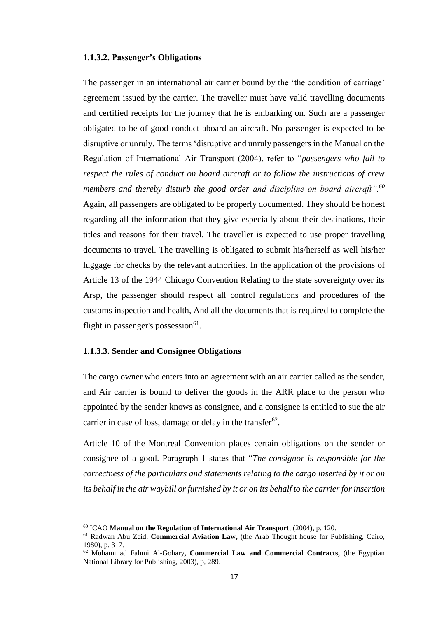#### <span id="page-27-0"></span>**1.1.3.2. Passenger's Obligations**

The passenger in an international air carrier bound by the 'the condition of carriage' agreement issued by the carrier. The traveller must have valid travelling documents and certified receipts for the journey that he is embarking on. Such are a passenger obligated to be of good conduct aboard an aircraft. No passenger is expected to be disruptive or unruly. The terms 'disruptive and unruly passengers in the Manual on the Regulation of International Air Transport (2004), refer to "*passengers who fail to respect the rules of conduct on board aircraft or to follow the instructions of crew members and thereby disturb the good order and discipline on board aircraft".<sup>60</sup>* Again, all passengers are obligated to be properly documented. They should be honest regarding all the information that they give especially about their destinations, their titles and reasons for their travel. The traveller is expected to use proper travelling documents to travel. The travelling is obligated to submit his/herself as well his/her luggage for checks by the relevant authorities. In the application of the provisions of Article 13 of the 1944 Chicago Convention Relating to the state sovereignty over its Arsp, the passenger should respect all control regulations and procedures of the customs inspection and health, And all the documents that is required to complete the flight in passenger's possession<sup>61</sup>.

#### <span id="page-27-1"></span>**1.1.3.3. Sender and Consignee Obligations**

 $\overline{a}$ 

The cargo owner who enters into an agreement with an air carrier called as the sender, and Air carrier is bound to deliver the goods in the ARR place to the person who appointed by the sender knows as consignee, and a consignee is entitled to sue the air carrier in case of loss, damage or delay in the transfer $62$ .

Article 10 of the Montreal Convention places certain obligations on the sender or consignee of a good. Paragraph 1 states that "*The consignor is responsible for the correctness of the particulars and statements relating to the cargo inserted by it or on its behalf in the air waybill or furnished by it or on its behalf to the carrier for insertion* 

<sup>60</sup> ICAO **Manual on the Regulation of International Air Transport**, (2004), p. 120.

<sup>61</sup> Radwan Abu Zeid, **Commercial Aviation Law,** (the Arab Thought house for Publishing, Cairo, 1980), p. 317.

<sup>62</sup> Muhammad Fahmi Al-Gohary**, Commercial Law and Commercial Contracts,** (the Egyptian National Library for Publishing, 2003), p, 289.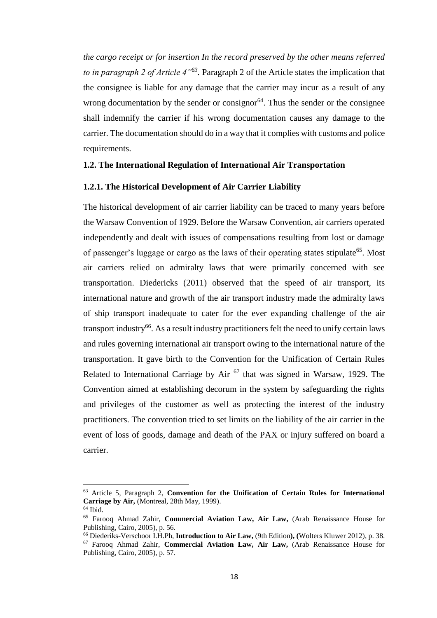*the cargo receipt or for insertion In the record preserved by the other means referred to in paragraph 2 of Article 4<sup>''63</sup>*. Paragraph 2 of the Article states the implication that the consignee is liable for any damage that the carrier may incur as a result of any wrong documentation by the sender or consignor<sup>64</sup>. Thus the sender or the consignee shall indemnify the carrier if his wrong documentation causes any damage to the carrier. The documentation should do in a way that it complies with customs and police requirements.

# <span id="page-28-0"></span>**1.2. The International Regulation of International Air Transportation**

#### <span id="page-28-1"></span>**1.2.1. The Historical Development of Air Carrier Liability**

The historical development of air carrier liability can be traced to many years before the Warsaw Convention of 1929. Before the Warsaw Convention, air carriers operated independently and dealt with issues of compensations resulting from lost or damage of passenger's luggage or cargo as the laws of their operating states stipulate<sup>65</sup>. Most air carriers relied on admiralty laws that were primarily concerned with see transportation. Diedericks (2011) observed that the speed of air transport, its international nature and growth of the air transport industry made the admiralty laws of ship transport inadequate to cater for the ever expanding challenge of the air transport industry<sup>66</sup>. As a result industry practitioners felt the need to unify certain laws and rules governing international air transport owing to the international nature of the transportation. It gave birth to the Convention for the Unification of Certain Rules Related to International Carriage by Air  $67$  that was signed in Warsaw, 1929. The Convention aimed at establishing decorum in the system by safeguarding the rights and privileges of the customer as well as protecting the interest of the industry practitioners. The convention tried to set limits on the liability of the air carrier in the event of loss of goods, damage and death of the PAX or injury suffered on board a carrier.

<sup>63</sup> Article 5, Paragraph 2, **Convention for the Unification of Certain Rules for International Carriage by Air,** (Montreal, 28th May, 1999).

 $64$  Ibid.

<sup>65</sup> Farooq Ahmad Zahir, **Commercial Aviation Law, Air Law,** (Arab Renaissance House for Publishing, Cairo, 2005), p. 56.

<sup>66</sup> Diederiks-Verschoor I.H.Ph, **Introduction to Air Law,** (9th Edition**), (**Wolters Kluwer 2012), p. 38. <sup>67</sup> Farooq Ahmad Zahir, **Commercial Aviation Law, Air Law,** (Arab Renaissance House for Publishing, Cairo, 2005), p. 57.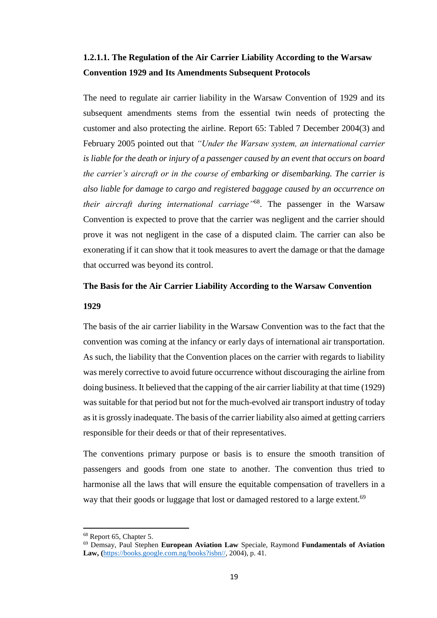# <span id="page-29-0"></span>**1.2.1.1. The Regulation of the Air Carrier Liability According to the Warsaw Convention 1929 and Its Amendments Subsequent Protocols**

The need to regulate air carrier liability in the Warsaw Convention of 1929 and its subsequent amendments stems from the essential twin needs of protecting the customer and also protecting the airline. Report 65: Tabled 7 December 2004(3) and February 2005 pointed out that *"Under the Warsaw system, an international carrier is liable for the death or injury of a passenger caused by an event that occurs on board the carrier's aircraft or in the course of embarking or disembarking. The carrier is also liable for damage to cargo and registered baggage caused by an occurrence on their aircraft during international carriage"*<sup>68</sup>. The passenger in the Warsaw Convention is expected to prove that the carrier was negligent and the carrier should prove it was not negligent in the case of a disputed claim. The carrier can also be exonerating if it can show that it took measures to avert the damage or that the damage that occurred was beyond its control.

# **The Basis for the Air Carrier Liability According to the Warsaw Convention 1929**

The basis of the air carrier liability in the Warsaw Convention was to the fact that the convention was coming at the infancy or early days of international air transportation. As such, the liability that the Convention places on the carrier with regards to liability was merely corrective to avoid future occurrence without discouraging the airline from doing business. It believed that the capping of the air carrier liability at that time (1929) was suitable for that period but not for the much-evolved air transport industry of today as it is grossly inadequate. The basis of the carrier liability also aimed at getting carriers responsible for their deeds or that of their representatives.

The conventions primary purpose or basis is to ensure the smooth transition of passengers and goods from one state to another. The convention thus tried to harmonise all the laws that will ensure the equitable compensation of travellers in a way that their goods or luggage that lost or damaged restored to a large extent.<sup>69</sup>

 $\overline{\phantom{a}}$ 

<sup>&</sup>lt;sup>68</sup> Report 65, Chapter 5.

<sup>69</sup> Demsay, Paul Stephen **European Aviation Law** Speciale, Raymond **Fundamentals of Aviation Law, (**[https://books.google.com.ng/books?isbn//,](https://books.google.com.ng/books?isbn//) 2004), p. 41.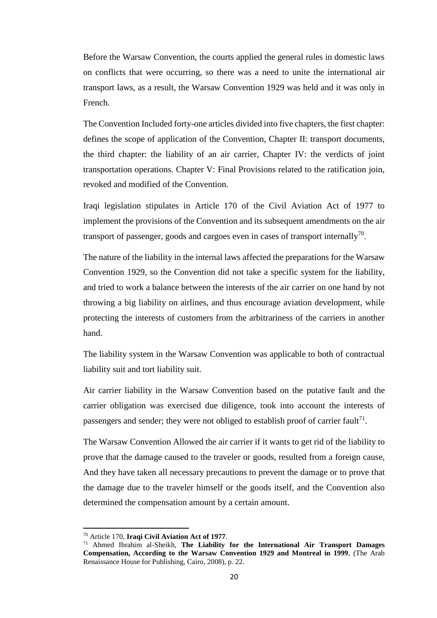Before the Warsaw Convention, the courts applied the general rules in domestic laws on conflicts that were occurring, so there was a need to unite the international air transport laws, as a result, the Warsaw Convention 1929 was held and it was only in French.

The Convention Included forty-one articles divided into five chapters, the first chapter: defines the scope of application of the Convention, Chapter II: transport documents, the third chapter: the liability of an air carrier, Chapter IV: the verdicts of joint transportation operations. Chapter V: Final Provisions related to the ratification join, revoked and modified of the Convention.

Iraqi legislation stipulates in Article 170 of the Civil Aviation Act of 1977 to implement the provisions of the Convention and its subsequent amendments on the air transport of passenger, goods and cargoes even in cases of transport internally<sup>70</sup>.

The nature of the liability in the internal laws affected the preparations for the Warsaw Convention 1929, so the Convention did not take a specific system for the liability, and tried to work a balance between the interests of the air carrier on one hand by not throwing a big liability on airlines, and thus encourage aviation development, while protecting the interests of customers from the arbitrariness of the carriers in another hand.

The liability system in the Warsaw Convention was applicable to both of contractual liability suit and tort liability suit.

Air carrier liability in the Warsaw Convention based on the putative fault and the carrier obligation was exercised due diligence, took into account the interests of passengers and sender; they were not obliged to establish proof of carrier fault<sup>71</sup>.

The Warsaw Convention Allowed the air carrier if it wants to get rid of the liability to prove that the damage caused to the traveler or goods, resulted from a foreign cause, And they have taken all necessary precautions to prevent the damage or to prove that the damage due to the traveler himself or the goods itself, and the Convention also determined the compensation amount by a certain amount.

 $\overline{\phantom{a}}$ 

<sup>70</sup> Article 170, **Iraqi Civil Aviation Act of 1977**.

<sup>71</sup> Ahmed Ibrahim al-Sheikh, **The Liability for the International Air Transport Damages Compensation, According to the Warsaw Convention 1929 and Montreal in 1999**, (The Arab Renaissance House for Publishing, Cairo, 2008), p. 22.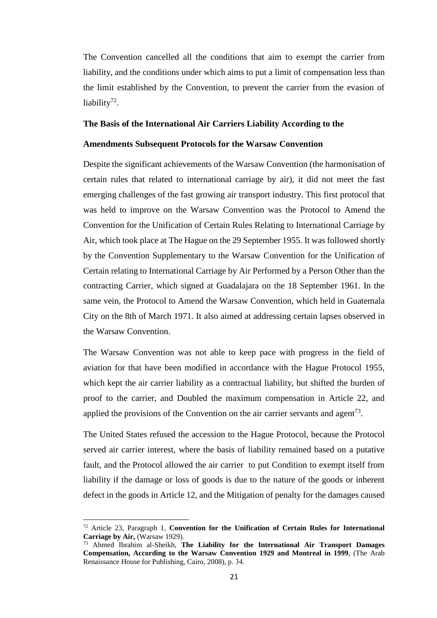The Convention cancelled all the conditions that aim to exempt the carrier from liability, and the conditions under which aims to put a limit of compensation less than the limit established by the Convention, to prevent the carrier from the evasion of liability<sup>72</sup>.

#### **The Basis of the International Air Carriers Liability According to the**

#### **Amendments Subsequent Protocols for the Warsaw Convention**

Despite the significant achievements of the Warsaw Convention (the harmonisation of certain rules that related to international carriage by air), it did not meet the fast emerging challenges of the fast growing air transport industry. This first protocol that was held to improve on the Warsaw Convention was the Protocol to Amend the Convention for the Unification of Certain Rules Relating to International Carriage by Air, which took place at The Hague on the 29 September 1955. It was followed shortly by the Convention Supplementary to the Warsaw Convention for the Unification of Certain relating to International Carriage by Air Performed by a Person Other than the contracting Carrier, which signed at Guadalajara on the 18 September 1961. In the same vein, the Protocol to Amend the Warsaw Convention, which held in Guatemala City on the 8th of March 1971. It also aimed at addressing certain lapses observed in the Warsaw Convention.

The Warsaw Convention was not able to keep pace with progress in the field of aviation for that have been modified in accordance with the Hague Protocol 1955, which kept the air carrier liability as a contractual liability, but shifted the burden of proof to the carrier, and Doubled the maximum compensation in Article 22, and applied the provisions of the Convention on the air carrier servants and agent<sup>73</sup>.

The United States refused the accession to the Hague Protocol, because the Protocol served air carrier interest, where the basis of liability remained based on a putative fault, and the Protocol allowed the air carrier to put Condition to exempt itself from liability if the damage or loss of goods is due to the nature of the goods or inherent defect in the goods in Article 12, and the Mitigation of penalty for the damages caused

<sup>72</sup> Article 23, Paragraph 1, **Convention for the Unification of Certain Rules for International Carriage by Air,** (Warsaw 1929).

<sup>73</sup> Ahmed Ibrahim al-Sheikh, **The Liability for the International Air Transport Damages Compensation, According to the Warsaw Convention 1929 and Montreal in 1999**, (The Arab Renaissance House for Publishing, Cairo, 2008), p. 34.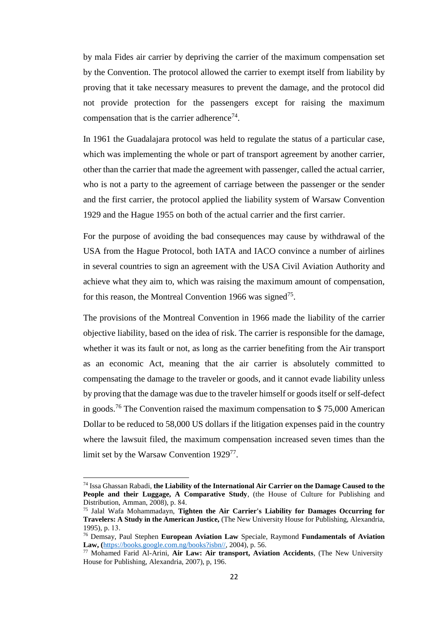by mala Fides air carrier by depriving the carrier of the maximum compensation set by the Convention. The protocol allowed the carrier to exempt itself from liability by proving that it take necessary measures to prevent the damage, and the protocol did not provide protection for the passengers except for raising the maximum compensation that is the carrier adherence<sup>74</sup>.

In 1961 the Guadalajara protocol was held to regulate the status of a particular case, which was implementing the whole or part of transport agreement by another carrier, other than the carrier that made the agreement with passenger, called the actual carrier, who is not a party to the agreement of carriage between the passenger or the sender and the first carrier, the protocol applied the liability system of Warsaw Convention 1929 and the Hague 1955 on both of the actual carrier and the first carrier.

For the purpose of avoiding the bad consequences may cause by withdrawal of the USA from the Hague Protocol, both IATA and IACO convince a number of airlines in several countries to sign an agreement with the USA Civil Aviation Authority and achieve what they aim to, which was raising the maximum amount of compensation, for this reason, the Montreal Convention 1966 was signed<sup>75</sup>.

The provisions of the Montreal Convention in 1966 made the liability of the carrier objective liability, based on the idea of risk. The carrier is responsible for the damage, whether it was its fault or not, as long as the carrier benefiting from the Air transport as an economic Act, meaning that the air carrier is absolutely committed to compensating the damage to the traveler or goods, and it cannot evade liability unless by proving that the damage was due to the traveler himself or goods itself or self-defect in goods.<sup>76</sup> The Convention raised the maximum compensation to  $$75,000$  American Dollar to be reduced to 58,000 US dollars if the litigation expenses paid in the country where the lawsuit filed, the maximum compensation increased seven times than the limit set by the Warsaw Convention 1929<sup>77</sup>.

<sup>74</sup> Issa Ghassan Rabadi, **the Liability of the International Air Carrier on the Damage Caused to the People and their Luggage, A Comparative Study**, (the House of Culture for Publishing and Distribution, Amman, 2008), p. 84.

<sup>75</sup> Jalal Wafa Mohammadayn, **Tighten the Air Carrier's Liability for Damages Occurring for Travelers: A Study in the American Justice,** (The New University House for Publishing, Alexandria, 1995), p. 13.

<sup>76</sup> Demsay, Paul Stephen **European Aviation Law** Speciale, Raymond **Fundamentals of Aviation Law, (**[https://books.google.com.ng/books?isbn//,](https://books.google.com.ng/books?isbn//) 2004), p. 56.

<sup>77</sup> Mohamed Farid Al-Arini, **Air Law: Air transport, Aviation Accidents**, (The New University House for Publishing, Alexandria, 2007), p, 196.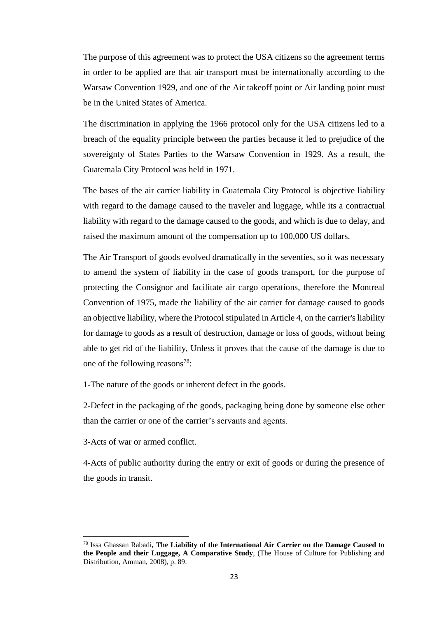The purpose of this agreement was to protect the USA citizens so the agreement terms in order to be applied are that air transport must be internationally according to the Warsaw Convention 1929, and one of the Air takeoff point or Air landing point must be in the United States of America.

The discrimination in applying the 1966 protocol only for the USA citizens led to a breach of the equality principle between the parties because it led to prejudice of the sovereignty of States Parties to the Warsaw Convention in 1929. As a result, the Guatemala City Protocol was held in 1971.

The bases of the air carrier liability in Guatemala City Protocol is objective liability with regard to the damage caused to the traveler and luggage, while its a contractual liability with regard to the damage caused to the goods, and which is due to delay, and raised the maximum amount of the compensation up to 100,000 US dollars.

The Air Transport of goods evolved dramatically in the seventies, so it was necessary to amend the system of liability in the case of goods transport, for the purpose of protecting the Consignor and facilitate air cargo operations, therefore the Montreal Convention of 1975, made the liability of the air carrier for damage caused to goods an objective liability, where the Protocol stipulated in Article 4, on the carrier's liability for damage to goods as a result of destruction, damage or loss of goods, without being able to get rid of the liability, Unless it proves that the cause of the damage is due to one of the following reasons<sup>78</sup>:

1-The nature of the goods or inherent defect in the goods.

2-Defect in the packaging of the goods, packaging being done by someone else other than the carrier or one of the carrier's servants and agents.

3-Acts of war or armed conflict.

 $\overline{a}$ 

4-Acts of public authority during the entry or exit of goods or during the presence of the goods in transit.

<sup>78</sup> Issa Ghassan Rabadi**, The Liability of the International Air Carrier on the Damage Caused to the People and their Luggage, A Comparative Study**, (The House of Culture for Publishing and Distribution, Amman, 2008), p. 89.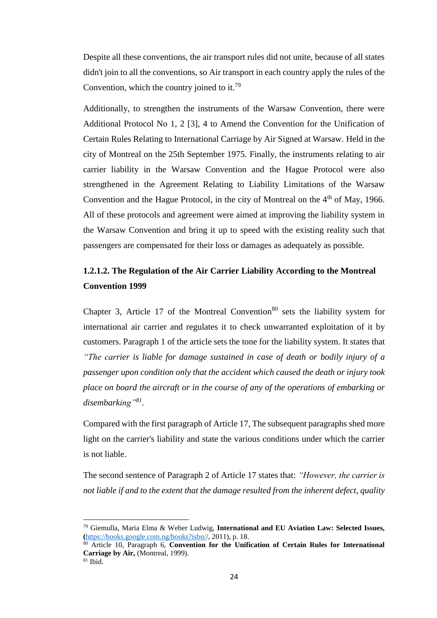Despite all these conventions, the air transport rules did not unite, because of all states didn't join to all the conventions, so Air transport in each country apply the rules of the Convention, which the country joined to it.<sup>79</sup>

Additionally, to strengthen the instruments of the Warsaw Convention, there were Additional Protocol No 1, 2 [3], 4 to Amend the Convention for the Unification of Certain Rules Relating to International Carriage by Air Signed at Warsaw*.* Held in the city of Montreal on the 25th September 1975. Finally, the instruments relating to air carrier liability in the Warsaw Convention and the Hague Protocol were also strengthened in the Agreement Relating to Liability Limitations of the Warsaw Convention and the Hague Protocol, in the city of Montreal on the  $4<sup>th</sup>$  of May, 1966. All of these protocols and agreement were aimed at improving the liability system in the Warsaw Convention and bring it up to speed with the existing reality such that passengers are compensated for their loss or damages as adequately as possible.

# <span id="page-34-0"></span>**1.2.1.2. The Regulation of the Air Carrier Liability According to the Montreal Convention 1999**

Chapter 3, Article 17 of the Montreal Convention<sup>80</sup> sets the liability system for international air carrier and regulates it to check unwarranted exploitation of it by customers. Paragraph 1 of the article sets the tone for the liability system. It states that *"The carrier is liable for damage sustained in case of death or bodily injury of a passenger upon condition only that the accident which caused the death or injury took place on board the aircraft or in the course of any of the operations of embarking or disembarking"<sup>81</sup> .*

Compared with the first paragraph of Article 17, The subsequent paragraphs shed more light on the carrier's liability and state the various conditions under which the carrier is not liable.

The second sentence of Paragraph 2 of Article 17 states that: *"However, the carrier is not liable if and to the extent that the damage resulted from the inherent defect, quality* 

 $\overline{a}$ <sup>79</sup> Giemulla, Maria Elma & Weber Ludwig, **International and EU Aviation Law: Selected Issues, (**[https://books.google.com.ng/books?isbn//](https://books.google.com.ng/books?isbn/), 2011), p. 18.

<sup>80</sup> Article 10, Paragraph 6, **Convention for the Unification of Certain Rules for International Carriage by Air,** (Montreal, 1999).  $81$  Ibid.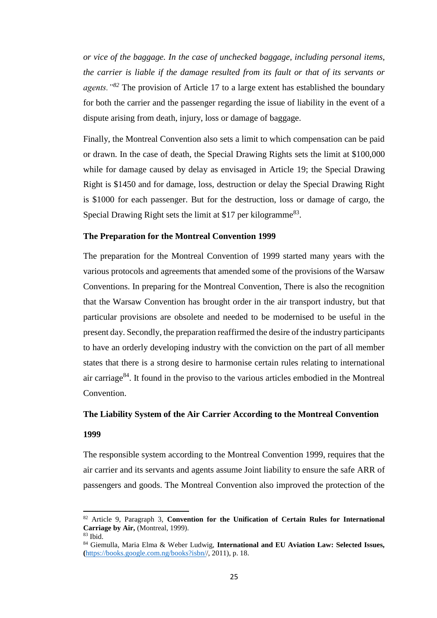*or vice of the baggage. In the case of unchecked baggage, including personal items, the carrier is liable if the damage resulted from its fault or that of its servants or agents."<sup>82</sup>* The provision of Article 17 to a large extent has established the boundary for both the carrier and the passenger regarding the issue of liability in the event of a dispute arising from death, injury, loss or damage of baggage.

Finally, the Montreal Convention also sets a limit to which compensation can be paid or drawn. In the case of death, the Special Drawing Rights sets the limit at \$100,000 while for damage caused by delay as envisaged in Article 19; the Special Drawing Right is \$1450 and for damage, loss, destruction or delay the Special Drawing Right is \$1000 for each passenger. But for the destruction, loss or damage of cargo, the Special Drawing Right sets the limit at \$17 per kilogramme<sup>83</sup>.

#### **The Preparation for the Montreal Convention 1999**

The preparation for the Montreal Convention of 1999 started many years with the various protocols and agreements that amended some of the provisions of the Warsaw Conventions. In preparing for the Montreal Convention, There is also the recognition that the Warsaw Convention has brought order in the air transport industry, but that particular provisions are obsolete and needed to be modernised to be useful in the present day. Secondly, the preparation reaffirmed the desire of the industry participants to have an orderly developing industry with the conviction on the part of all member states that there is a strong desire to harmonise certain rules relating to international air carriage<sup>84</sup>. It found in the proviso to the various articles embodied in the Montreal Convention.

#### **The Liability System of the Air Carrier According to the Montreal Convention**

#### **1999**

The responsible system according to the Montreal Convention 1999, requires that the air carrier and its servants and agents assume Joint liability to ensure the safe ARR of passengers and goods. The Montreal Convention also improved the protection of the

<sup>82</sup> Article 9, Paragraph 3, **Convention for the Unification of Certain Rules for International Carriage by Air,** (Montreal, 1999).  $83$  Ibid.

<sup>84</sup> Giemulla, Maria Elma & Weber Ludwig, **International and EU Aviation Law: Selected Issues, (**[https://books.google.com.ng/books?isbn//](https://books.google.com.ng/books?isbn/), 2011), p. 18.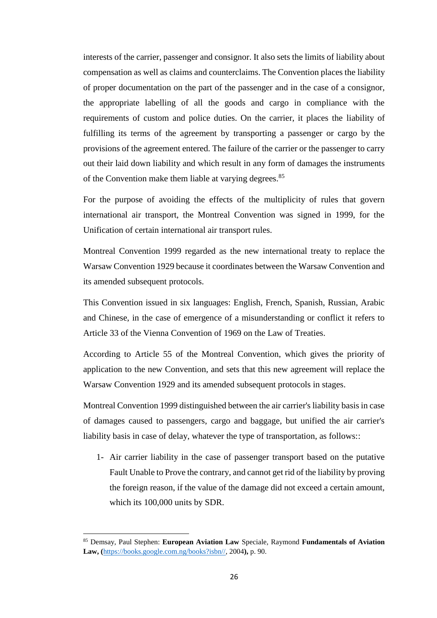interests of the carrier, passenger and consignor. It also sets the limits of liability about compensation as well as claims and counterclaims. The Convention places the liability of proper documentation on the part of the passenger and in the case of a consignor, the appropriate labelling of all the goods and cargo in compliance with the requirements of custom and police duties. On the carrier, it places the liability of fulfilling its terms of the agreement by transporting a passenger or cargo by the provisions of the agreement entered. The failure of the carrier or the passenger to carry out their laid down liability and which result in any form of damages the instruments of the Convention make them liable at varying degrees.<sup>85</sup>

For the purpose of avoiding the effects of the multiplicity of rules that govern international air transport, the Montreal Convention was signed in 1999, for the Unification of certain international air transport rules.

Montreal Convention 1999 regarded as the new international treaty to replace the Warsaw Convention 1929 because it coordinates between the Warsaw Convention and its amended subsequent protocols.

This Convention issued in six languages: English, French, Spanish, Russian, Arabic and Chinese, in the case of emergence of a misunderstanding or conflict it refers to Article 33 of the Vienna Convention of 1969 on the Law of Treaties.

According to Article 55 of the Montreal Convention, which gives the priority of application to the new Convention, and sets that this new agreement will replace the Warsaw Convention 1929 and its amended subsequent protocols in stages.

Montreal Convention 1999 distinguished between the air carrier's liability basis in case of damages caused to passengers, cargo and baggage, but unified the air carrier's liability basis in case of delay, whatever the type of transportation, as follows::

1- Air carrier liability in the case of passenger transport based on the putative Fault Unable to Prove the contrary, and cannot get rid of the liability by proving the foreign reason, if the value of the damage did not exceed a certain amount, which its 100,000 units by SDR.

<sup>85</sup> Demsay, Paul Stephen: **European Aviation Law** Speciale, Raymond **Fundamentals of Aviation Law, (**[https://books.google.com.ng/books?isbn//,](https://books.google.com.ng/books?isbn//) 2004**),** p. 90.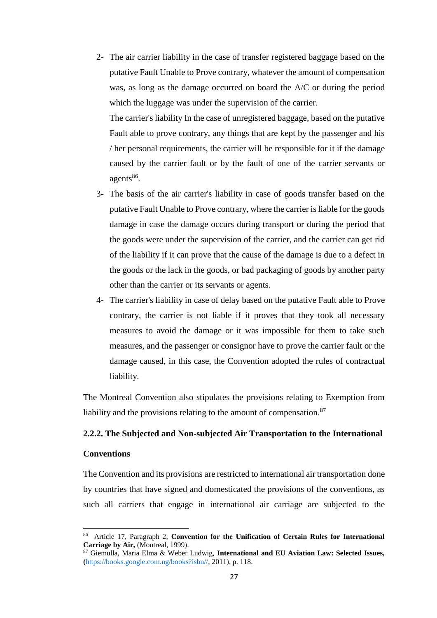2- The air carrier liability in the case of transfer registered baggage based on the putative Fault Unable to Prove contrary, whatever the amount of compensation was, as long as the damage occurred on board the A/C or during the period which the luggage was under the supervision of the carrier.

The carrier's liability In the case of unregistered baggage, based on the putative Fault able to prove contrary, any things that are kept by the passenger and his / her personal requirements, the carrier will be responsible for it if the damage caused by the carrier fault or by the fault of one of the carrier servants or agents<sup>86</sup>.

- 3- The basis of the air carrier's liability in case of goods transfer based on the putative Fault Unable to Prove contrary, where the carrier is liable for the goods damage in case the damage occurs during transport or during the period that the goods were under the supervision of the carrier, and the carrier can get rid of the liability if it can prove that the cause of the damage is due to a defect in the goods or the lack in the goods, or bad packaging of goods by another party other than the carrier or its servants or agents.
- 4- The carrier's liability in case of delay based on the putative Fault able to Prove contrary, the carrier is not liable if it proves that they took all necessary measures to avoid the damage or it was impossible for them to take such measures, and the passenger or consignor have to prove the carrier fault or the damage caused, in this case, the Convention adopted the rules of contractual liability.

The Montreal Convention also stipulates the provisions relating to Exemption from liability and the provisions relating to the amount of compensation. $87$ 

# <span id="page-37-0"></span>**2.2.2. The Subjected and Non-subjected Air Transportation to the International**

## **Conventions**

 $\overline{\phantom{a}}$ 

The Convention and its provisions are restricted to international air transportation done by countries that have signed and domesticated the provisions of the conventions, as such all carriers that engage in international air carriage are subjected to the

<sup>86</sup> Article 17, Paragraph 2, **Convention for the Unification of Certain Rules for International Carriage by Air,** (Montreal, 1999).

<sup>87</sup> Giemulla, Maria Elma & Weber Ludwig, **International and EU Aviation Law: Selected Issues, (**[https://books.google.com.ng/books?isbn//,](https://books.google.com.ng/books?isbn//) 2011), p. 118.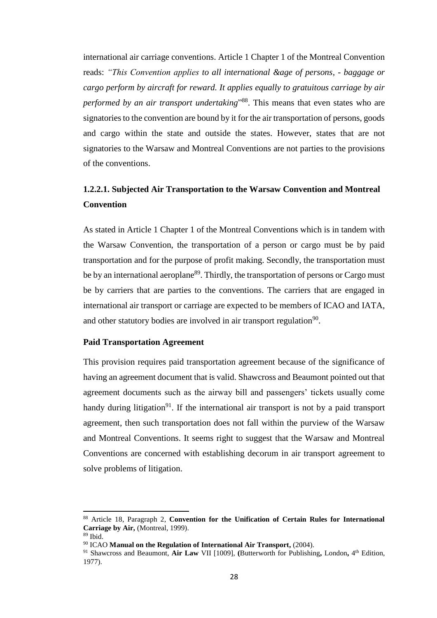international air carriage conventions. Article 1 Chapter 1 of the Montreal Convention reads: *"This Convention applies to all international &age of persons, - baggage or cargo perform by aircraft for reward. It applies equally to gratuitous carriage by air performed by an air transport undertaking*" 88 . This means that even states who are signatories to the convention are bound by it for the air transportation of persons, goods and cargo within the state and outside the states. However, states that are not signatories to the Warsaw and Montreal Conventions are not parties to the provisions of the conventions.

# <span id="page-38-0"></span>**1.2.2.1. Subjected Air Transportation to the Warsaw Convention and Montreal Convention**

As stated in Article 1 Chapter 1 of the Montreal Conventions which is in tandem with the Warsaw Convention, the transportation of a person or cargo must be by paid transportation and for the purpose of profit making. Secondly, the transportation must be by an international aeroplane<sup>89</sup>. Thirdly, the transportation of persons or Cargo must be by carriers that are parties to the conventions. The carriers that are engaged in international air transport or carriage are expected to be members of ICAO and IATA, and other statutory bodies are involved in air transport regulation<sup>90</sup>.

#### **Paid Transportation Agreement**

This provision requires paid transportation agreement because of the significance of having an agreement document that is valid. Shawcross and Beaumont pointed out that agreement documents such as the airway bill and passengers' tickets usually come handy during litigation<sup>91</sup>. If the international air transport is not by a paid transport agreement, then such transportation does not fall within the purview of the Warsaw and Montreal Conventions. It seems right to suggest that the Warsaw and Montreal Conventions are concerned with establishing decorum in air transport agreement to solve problems of litigation.

<sup>88</sup> Article 18, Paragraph 2, **Convention for the Unification of Certain Rules for International Carriage by Air,** (Montreal, 1999).

 $89$  Ibid.

<sup>90</sup> ICAO **Manual on the Regulation of International Air Transport,** (2004).

<sup>91</sup> Shawcross and Beaumont, **Air Law** VII [1009], **(**Butterworth for Publishing**,** London**,** 4 th Edition, 1977).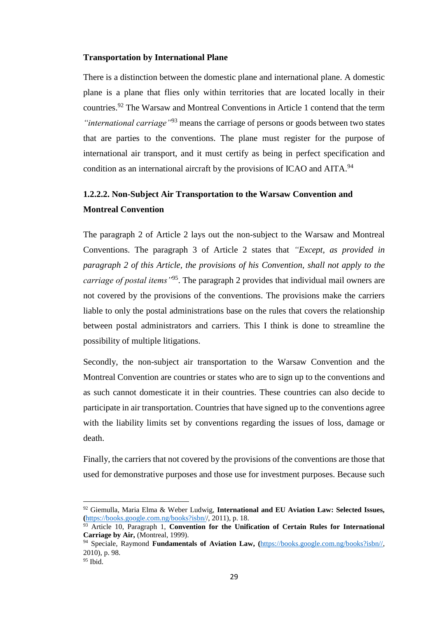#### **Transportation by International Plane**

There is a distinction between the domestic plane and international plane. A domestic plane is a plane that flies only within territories that are located locally in their countries.<sup>92</sup> The Warsaw and Montreal Conventions in Article 1 contend that the term *"international carriage"*<sup>93</sup> means the carriage of persons or goods between two states that are parties to the conventions. The plane must register for the purpose of international air transport, and it must certify as being in perfect specification and condition as an international aircraft by the provisions of ICAO and AITA.<sup>94</sup>

# <span id="page-39-0"></span>**1.2.2.2. Non-Subject Air Transportation to the Warsaw Convention and Montreal Convention**

The paragraph 2 of Article 2 lays out the non-subject to the Warsaw and Montreal Conventions. The paragraph 3 of Article 2 states that *"Except, as provided in paragraph 2 of this Article, the provisions of his Convention, shall not apply to the carriage of postal items"*<sup>95</sup>. The paragraph 2 provides that individual mail owners are not covered by the provisions of the conventions. The provisions make the carriers liable to only the postal administrations base on the rules that covers the relationship between postal administrators and carriers. This I think is done to streamline the possibility of multiple litigations.

Secondly, the non-subject air transportation to the Warsaw Convention and the Montreal Convention are countries or states who are to sign up to the conventions and as such cannot domesticate it in their countries. These countries can also decide to participate in air transportation. Countries that have signed up to the conventions agree with the liability limits set by conventions regarding the issues of loss, damage or death.

Finally, the carriers that not covered by the provisions of the conventions are those that used for demonstrative purposes and those use for investment purposes. Because such

<sup>92</sup> Giemulla, Maria Elma & Weber Ludwig, **International and EU Aviation Law: Selected Issues, (**[https://books.google.com.ng/books?isbn//](https://books.google.com.ng/books?isbn/), 2011), p. 18.

<sup>93</sup> Article 10, Paragraph 1, **Convention for the Unification of Certain Rules for International Carriage by Air,** (Montreal, 1999).

<sup>94</sup> Speciale, Raymond **Fundamentals of Aviation Law, (**[https://books.google.com.ng/books?isbn//,](https://books.google.com.ng/books?isbn//) 2010), p. 98.

<sup>95</sup> Ibid.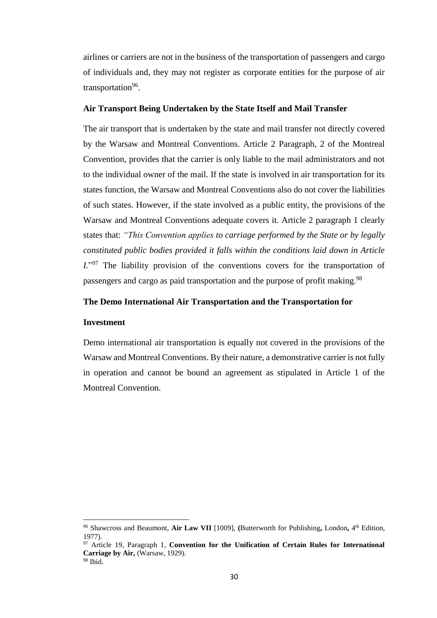airlines or carriers are not in the business of the transportation of passengers and cargo of individuals and, they may not register as corporate entities for the purpose of air transportation<sup>96</sup>.

#### **Air Transport Being Undertaken by the State Itself and Mail Transfer**

The air transport that is undertaken by the state and mail transfer not directly covered by the Warsaw and Montreal Conventions. Article 2 Paragraph, 2 of the Montreal Convention, provides that the carrier is only liable to the mail administrators and not to the individual owner of the mail. If the state is involved in air transportation for its states function, the Warsaw and Montreal Conventions also do not cover the liabilities of such states. However, if the state involved as a public entity, the provisions of the Warsaw and Montreal Conventions adequate covers it. Article 2 paragraph 1 clearly states that: *"This Convention applies to carriage performed by the State or by legally constituted public bodies provided it falls within the conditions laid down in Article*  I."<sup>97</sup> The liability provision of the conventions covers for the transportation of passengers and cargo as paid transportation and the purpose of profit making.<sup>98</sup>

# **The Demo International Air Transportation and the Transportation for**

#### **Investment**

 $\overline{a}$ 

Demo international air transportation is equally not covered in the provisions of the Warsaw and Montreal Conventions. By their nature, a demonstrative carrier is not fully in operation and cannot be bound an agreement as stipulated in Article 1 of the Montreal Convention.

<sup>96</sup> Shawcross and Beaumont, **Air Law VII** [1009], **(**Butterworth for Publishing**,** London**,** 4 th Edition, 1977).

<sup>97</sup> Article 19, Paragraph 1, **Convention for the Unification of Certain Rules for International Carriage by Air,** (Warsaw, 1929). <sup>98</sup> Ibid.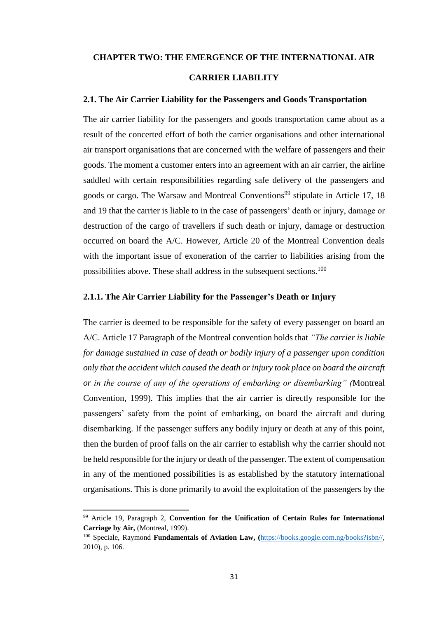#### <span id="page-41-0"></span>**CHAPTER TWO: THE EMERGENCE OF THE INTERNATIONAL AIR**

# **CARRIER LIABILITY**

#### <span id="page-41-1"></span>**2.1. The Air Carrier Liability for the Passengers and Goods Transportation**

The air carrier liability for the passengers and goods transportation came about as a result of the concerted effort of both the carrier organisations and other international air transport organisations that are concerned with the welfare of passengers and their goods. The moment a customer enters into an agreement with an air carrier, the airline saddled with certain responsibilities regarding safe delivery of the passengers and goods or cargo. The Warsaw and Montreal Conventions<sup>99</sup> stipulate in Article 17, 18 and 19 that the carrier is liable to in the case of passengers' death or injury, damage or destruction of the cargo of travellers if such death or injury, damage or destruction occurred on board the A/C. However, Article 20 of the Montreal Convention deals with the important issue of exoneration of the carrier to liabilities arising from the possibilities above. These shall address in the subsequent sections.<sup>100</sup>

#### <span id="page-41-2"></span>**2.1.1. The Air Carrier Liability for the Passenger's Death or Injury**

The carrier is deemed to be responsible for the safety of every passenger on board an A/C. Article 17 Paragraph of the Montreal convention holds that *"The carrier is liable for damage sustained in case of death or bodily injury of a passenger upon condition only that the accident which caused the death or injury took place on board the aircraft or in the course of any of the operations of embarking or disembarking" (*Montreal Convention, 1999)*.* This implies that the air carrier is directly responsible for the passengers' safety from the point of embarking, on board the aircraft and during disembarking. If the passenger suffers any bodily injury or death at any of this point, then the burden of proof falls on the air carrier to establish why the carrier should not be held responsible for the injury or death of the passenger. The extent of compensation in any of the mentioned possibilities is as established by the statutory international organisations. This is done primarily to avoid the exploitation of the passengers by the

 $\overline{\phantom{a}}$ 

<sup>99</sup> Article 19, Paragraph 2, **Convention for the Unification of Certain Rules for International Carriage by Air,** (Montreal, 1999).

<sup>100</sup> Speciale, Raymond **Fundamentals of Aviation Law, (**[https://books.google.com.ng/books?isbn//,](https://books.google.com.ng/books?isbn//) 2010), p. 106.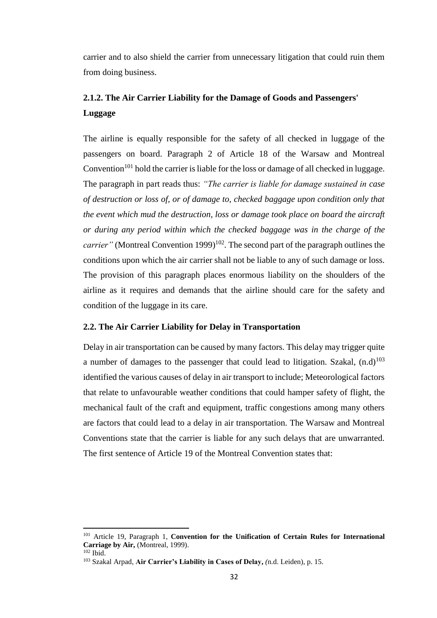carrier and to also shield the carrier from unnecessary litigation that could ruin them from doing business.

# <span id="page-42-0"></span>**2.1.2. The Air Carrier Liability for the Damage of Goods and Passengers' Luggage**

The airline is equally responsible for the safety of all checked in luggage of the passengers on board. Paragraph 2 of Article 18 of the Warsaw and Montreal Convention<sup>101</sup> hold the carrier is liable for the loss or damage of all checked in luggage. The paragraph in part reads thus: *"The carrier is liable for damage sustained in case of destruction or loss of, or of damage to, checked baggage upon condition only that the event which mud the destruction, loss or damage took place on board the aircraft or during any period within which the checked baggage was in the charge of the carrier*" (Montreal Convention 1999)<sup>102</sup>. The second part of the paragraph outlines the conditions upon which the air carrier shall not be liable to any of such damage or loss. The provision of this paragraph places enormous liability on the shoulders of the airline as it requires and demands that the airline should care for the safety and condition of the luggage in its care.

# <span id="page-42-1"></span>**2.2. The Air Carrier Liability for Delay in Transportation**

Delay in air transportation can be caused by many factors. This delay may trigger quite a number of damages to the passenger that could lead to litigation. Szakal,  $(n.d)^{103}$ identified the various causes of delay in air transport to include; Meteorological factors that relate to unfavourable weather conditions that could hamper safety of flight, the mechanical fault of the craft and equipment, traffic congestions among many others are factors that could lead to a delay in air transportation. The Warsaw and Montreal Conventions state that the carrier is liable for any such delays that are unwarranted. The first sentence of Article 19 of the Montreal Convention states that:

 $\overline{\phantom{a}}$ 

<sup>101</sup> Article 19, Paragraph 1, **Convention for the Unification of Certain Rules for International Carriage by Air,** (Montreal, 1999).

 $102$  Ibid.

<sup>103</sup> Szakal Arpad, **Air Carrier's Liability in Cases of Delay,** *(*n.d. Leiden), p. 15.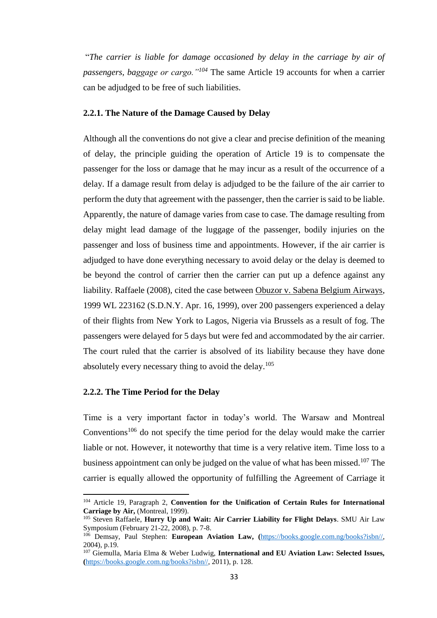"*The carrier is liable for damage occasioned by delay in the carriage by air of passengers, baggage or cargo."<sup>104</sup>* The same Article 19 accounts for when a carrier can be adjudged to be free of such liabilities.

#### <span id="page-43-0"></span>**2.2.1. The Nature of the Damage Caused by Delay**

Although all the conventions do not give a clear and precise definition of the meaning of delay, the principle guiding the operation of Article 19 is to compensate the passenger for the loss or damage that he may incur as a result of the occurrence of a delay. If a damage result from delay is adjudged to be the failure of the air carrier to perform the duty that agreement with the passenger, then the carrier is said to be liable. Apparently, the nature of damage varies from case to case. The damage resulting from delay might lead damage of the luggage of the passenger, bodily injuries on the passenger and loss of business time and appointments. However, if the air carrier is adjudged to have done everything necessary to avoid delay or the delay is deemed to be beyond the control of carrier then the carrier can put up a defence against any liability. Raffaele (2008), cited the case between Obuzor v. Sabena Belgium Airways, 1999 WL 223162 (S.D.N.Y. Apr. 16, 1999), over 200 passengers experienced a delay of their flights from New York to Lagos, Nigeria via Brussels as a result of fog. The passengers were delayed for 5 days but were fed and accommodated by the air carrier. The court ruled that the carrier is absolved of its liability because they have done absolutely every necessary thing to avoid the delay.<sup>105</sup>

# <span id="page-43-1"></span>**2.2.2. The Time Period for the Delay**

 $\overline{a}$ 

Time is a very important factor in today's world. The Warsaw and Montreal Conventions<sup>106</sup> do not specify the time period for the delay would make the carrier liable or not. However, it noteworthy that time is a very relative item. Time loss to a business appointment can only be judged on the value of what has been missed.<sup>107</sup> The carrier is equally allowed the opportunity of fulfilling the Agreement of Carriage it

<sup>104</sup> Article 19, Paragraph 2, **Convention for the Unification of Certain Rules for International Carriage by Air,** (Montreal, 1999).

<sup>105</sup> Steven Raffaele, **Hurry Up and Wait: Air Carrier Liability for Flight Delays**. SMU Air Law Symposium (February 21-22, 2008), p. 7-8.

<sup>106</sup> Demsay, Paul Stephen: **European Aviation Law, (**[https://books.google.com.ng/books?isbn//,](https://books.google.com.ng/books?isbn//) 2004), p.19.

<sup>107</sup> Giemulla, Maria Elma & Weber Ludwig, **International and EU Aviation Law: Selected Issues, (**[https://books.google.com.ng/books?isbn//,](https://books.google.com.ng/books?isbn//) 2011), p. 128.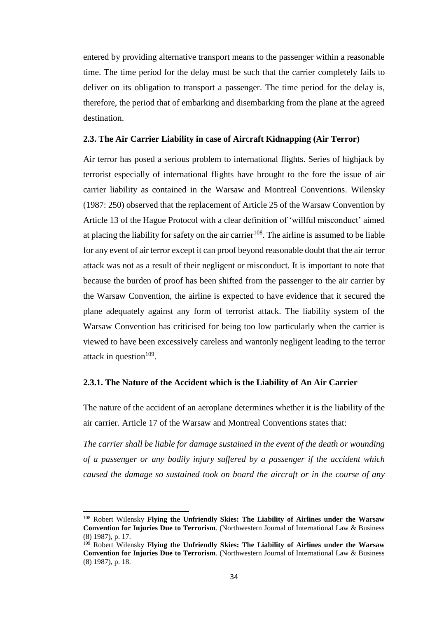entered by providing alternative transport means to the passenger within a reasonable time. The time period for the delay must be such that the carrier completely fails to deliver on its obligation to transport a passenger. The time period for the delay is, therefore, the period that of embarking and disembarking from the plane at the agreed destination.

#### <span id="page-44-0"></span>**2.3. The Air Carrier Liability in case of Aircraft Kidnapping (Air Terror)**

Air terror has posed a serious problem to international flights. Series of highjack by terrorist especially of international flights have brought to the fore the issue of air carrier liability as contained in the Warsaw and Montreal Conventions. Wilensky (1987: 250) observed that the replacement of Article 25 of the Warsaw Convention by Article 13 of the Hague Protocol with a clear definition of 'willful misconduct' aimed at placing the liability for safety on the air carrier<sup>108</sup>. The airline is assumed to be liable for any event of air terror except it can proof beyond reasonable doubt that the air terror attack was not as a result of their negligent or misconduct. It is important to note that because the burden of proof has been shifted from the passenger to the air carrier by the Warsaw Convention, the airline is expected to have evidence that it secured the plane adequately against any form of terrorist attack. The liability system of the Warsaw Convention has criticised for being too low particularly when the carrier is viewed to have been excessively careless and wantonly negligent leading to the terror attack in question $109$ .

#### <span id="page-44-1"></span>**2.3.1. The Nature of the Accident which is the Liability of An Air Carrier**

The nature of the accident of an aeroplane determines whether it is the liability of the air carrier. Article 17 of the Warsaw and Montreal Conventions states that:

*The carrier shall be liable for damage sustained in the event of the death or wounding of a passenger or any bodily injury suffered by a passenger if the accident which caused the damage so sustained took on board the aircraft or in the course of any* 

<sup>108</sup> Robert Wilensky **Flying the Unfriendly Skies: The Liability of Airlines under the Warsaw Convention for Injuries Due to Terrorism***.* (Northwestern Journal of International Law & Business (8) 1987), p. 17.

<sup>109</sup> Robert Wilensky **Flying the Unfriendly Skies: The Liability of Airlines under the Warsaw Convention for Injuries Due to Terrorism***.* (Northwestern Journal of International Law & Business (8) 1987), p. 18.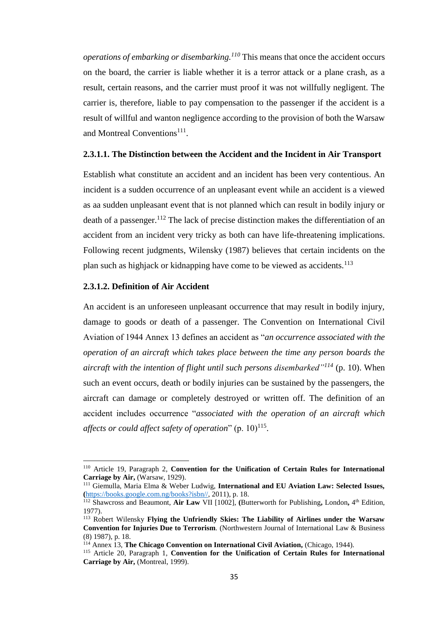*operations of embarking or disembarking.<sup>110</sup>* This means that once the accident occurs on the board, the carrier is liable whether it is a terror attack or a plane crash, as a result, certain reasons, and the carrier must proof it was not willfully negligent. The carrier is, therefore, liable to pay compensation to the passenger if the accident is a result of willful and wanton negligence according to the provision of both the Warsaw and Montreal Conventions<sup>111</sup>.

#### **2.3.1.1. The Distinction between the Accident and the Incident in Air Transport**

Establish what constitute an accident and an incident has been very contentious. An incident is a sudden occurrence of an unpleasant event while an accident is a viewed as aa sudden unpleasant event that is not planned which can result in bodily injury or death of a passenger.<sup>112</sup> The lack of precise distinction makes the differentiation of an accident from an incident very tricky as both can have life-threatening implications. Following recent judgments, Wilensky (1987) believes that certain incidents on the plan such as highjack or kidnapping have come to be viewed as accidents.<sup>113</sup>

# **2.3.1.2. Definition of Air Accident**

 $\overline{a}$ 

An accident is an unforeseen unpleasant occurrence that may result in bodily injury, damage to goods or death of a passenger. The Convention on International Civil Aviation of 1944 Annex 13 defines an accident as "*an occurrence associated with the operation of an aircraft which takes place between the time any person boards the aircraft with the intention of flight until such persons disembarked"<sup>114</sup>* (p. 10). When such an event occurs, death or bodily injuries can be sustained by the passengers, the aircraft can damage or completely destroyed or written off. The definition of an accident includes occurrence "*associated with the operation of an aircraft which*  affects or could affect safety of operation" (p. 10)<sup>115</sup>.

<sup>110</sup> Article 19, Paragraph 2, **Convention for the Unification of Certain Rules for International Carriage by Air,** (Warsaw, 1929).

<sup>111</sup> Giemulla, Maria Elma & Weber Ludwig, **International and EU Aviation Law: Selected Issues, (**[https://books.google.com.ng/books?isbn//,](https://books.google.com.ng/books?isbn//) 2011), p. 18.

<sup>112</sup> Shawcross and Beaumont, **Air Law** VII [1002], **(**Butterworth for Publishing**,** London**,** 4 th Edition, 1977).

<sup>113</sup> Robert Wilensky **Flying the Unfriendly Skies: The Liability of Airlines under the Warsaw Convention for Injuries Due to Terrorism***.* (Northwestern Journal of International Law & Business (8) 1987), p. 18.

<sup>114</sup> Annex 13, **The Chicago Convention on International Civil Aviation,** (Chicago, 1944).

<sup>115</sup> Article 20, Paragraph 1, **Convention for the Unification of Certain Rules for International Carriage by Air,** (Montreal, 1999).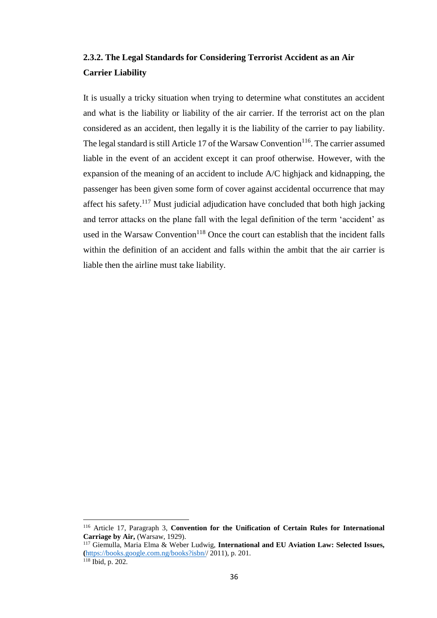# <span id="page-46-0"></span>**2.3.2. The Legal Standards for Considering Terrorist Accident as an Air Carrier Liability**

It is usually a tricky situation when trying to determine what constitutes an accident and what is the liability or liability of the air carrier. If the terrorist act on the plan considered as an accident, then legally it is the liability of the carrier to pay liability. The legal standard is still Article 17 of the Warsaw Convention<sup>116</sup>. The carrier assumed liable in the event of an accident except it can proof otherwise. However, with the expansion of the meaning of an accident to include A/C highjack and kidnapping, the passenger has been given some form of cover against accidental occurrence that may affect his safety.<sup>117</sup> Must judicial adjudication have concluded that both high jacking and terror attacks on the plane fall with the legal definition of the term 'accident' as used in the Warsaw Convention<sup>118</sup> Once the court can establish that the incident falls within the definition of an accident and falls within the ambit that the air carrier is liable then the airline must take liability.

<sup>116</sup> Article 17, Paragraph 3, **Convention for the Unification of Certain Rules for International Carriage by Air,** (Warsaw, 1929).

<sup>117</sup> Giemulla, Maria Elma & Weber Ludwig, **International and EU Aviation Law: Selected Issues, (**[https://books.google.com.ng/books?isbn//](https://books.google.com.ng/books?isbn/) 2011), p. 201. <sup>118</sup> Ibid, p. 202.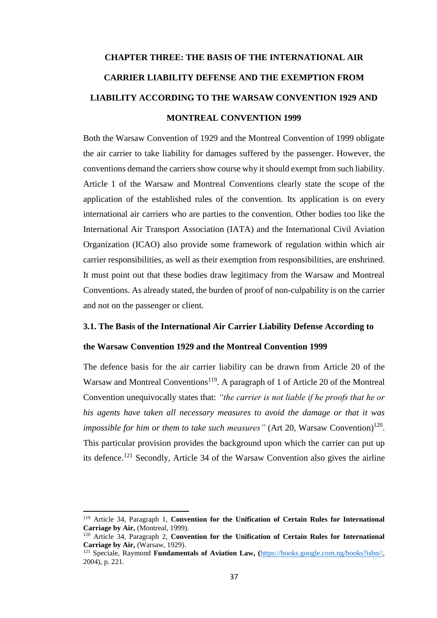# <span id="page-47-0"></span>**CHAPTER THREE: THE BASIS OF THE INTERNATIONAL AIR CARRIER LIABILITY DEFENSE AND THE EXEMPTION FROM LIABILITY ACCORDING TO THE WARSAW CONVENTION 1929 AND MONTREAL CONVENTION 1999**

Both the Warsaw Convention of 1929 and the Montreal Convention of 1999 obligate the air carrier to take liability for damages suffered by the passenger. However, the conventions demand the carriers show course why it should exempt from such liability. Article 1 of the Warsaw and Montreal Conventions clearly state the scope of the application of the established rules of the convention. Its application is on every international air carriers who are parties to the convention. Other bodies too like the International Air Transport Association (IATA) and the International Civil Aviation Organization (ICAO) also provide some framework of regulation within which air carrier responsibilities, as well as their exemption from responsibilities, are enshrined. It must point out that these bodies draw legitimacy from the Warsaw and Montreal Conventions. As already stated, the burden of proof of non-culpability is on the carrier and not on the passenger or client.

# <span id="page-47-1"></span>**3.1. The Basis of the International Air Carrier Liability Defense According to**

# **the Warsaw Convention 1929 and the Montreal Convention 1999**

The defence basis for the air carrier liability can be drawn from Article 20 of the Warsaw and Montreal Conventions<sup>119</sup>. A paragraph of 1 of Article 20 of the Montreal Convention unequivocally states that: *"the carrier is not liable if he proofs that he or his agents have taken all necessary measures to avoid the damage or that it was impossible for him or them to take such measures*" (Art 20, Warsaw Convention)<sup>120</sup>. This particular provision provides the background upon which the carrier can put up its defence.<sup>121</sup> Secondly, Article 34 of the Warsaw Convention also gives the airline

<sup>119</sup> Article 34, Paragraph 1, **Convention for the Unification of Certain Rules for International Carriage by Air,** (Montreal, 1999).

<sup>120</sup> Article 34, Paragraph 2, **Convention for the Unification of Certain Rules for International Carriage by Air,** (Warsaw, 1929).

<sup>121</sup> Speciale, Raymond **Fundamentals of Aviation Law, (**[https://books.google.com.ng/books?isbn//,](https://books.google.com.ng/books?isbn//) 2004), p. 221.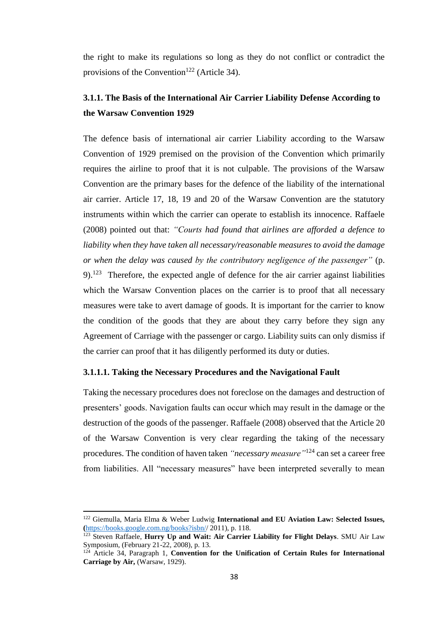the right to make its regulations so long as they do not conflict or contradict the provisions of the Convention<sup>122</sup> (Article 34).

# <span id="page-48-0"></span>**3.1.1. The Basis of the International Air Carrier Liability Defense According to the Warsaw Convention 1929**

The defence basis of international air carrier Liability according to the Warsaw Convention of 1929 premised on the provision of the Convention which primarily requires the airline to proof that it is not culpable. The provisions of the Warsaw Convention are the primary bases for the defence of the liability of the international air carrier. Article 17, 18, 19 and 20 of the Warsaw Convention are the statutory instruments within which the carrier can operate to establish its innocence. Raffaele (2008) pointed out that: *"Courts had found that airlines are afforded a defence to liability when they have taken all necessary/reasonable measures to avoid the damage or when the delay was caused by the contributory negligence of the passenger"* (p.  $9.123$  Therefore, the expected angle of defence for the air carrier against liabilities which the Warsaw Convention places on the carrier is to proof that all necessary measures were take to avert damage of goods. It is important for the carrier to know the condition of the goods that they are about they carry before they sign any Agreement of Carriage with the passenger or cargo. Liability suits can only dismiss if the carrier can proof that it has diligently performed its duty or duties.

#### **3.1.1.1. Taking the Necessary Procedures and the Navigational Fault**

Taking the necessary procedures does not foreclose on the damages and destruction of presenters' goods. Navigation faults can occur which may result in the damage or the destruction of the goods of the passenger. Raffaele (2008) observed that the Article 20 of the Warsaw Convention is very clear regarding the taking of the necessary procedures. The condition of haven taken *"necessary measure"*<sup>124</sup> can set a career free from liabilities. All "necessary measures" have been interpreted severally to mean

<sup>122</sup> Giemulla, Maria Elma & Weber Ludwig **International and EU Aviation Law: Selected Issues, (**[https://books.google.com.ng/books?isbn//](https://books.google.com.ng/books?isbn/) 2011), p. 118.

<sup>&</sup>lt;sup>123</sup> Steven Raffaele, **Hurry Up and Wait: Air Carrier Liability for Flight Delays**. SMU Air Law Symposium, (February 21-22, 2008), p. 13.

<sup>124</sup> Article 34, Paragraph 1, **Convention for the Unification of Certain Rules for International Carriage by Air,** (Warsaw, 1929).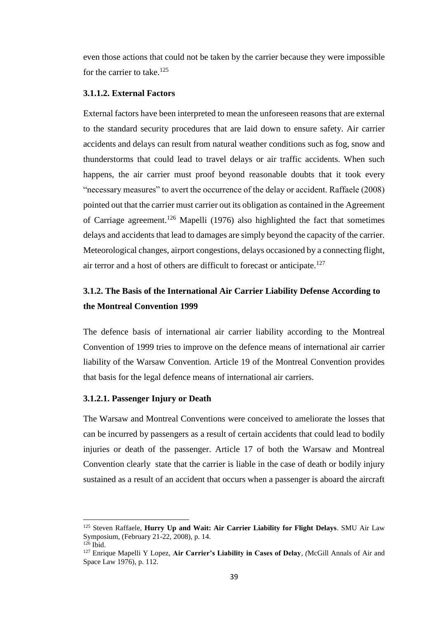even those actions that could not be taken by the carrier because they were impossible for the carrier to take. 125

## **3.1.1.2. External Factors**

External factors have been interpreted to mean the unforeseen reasons that are external to the standard security procedures that are laid down to ensure safety. Air carrier accidents and delays can result from natural weather conditions such as fog, snow and thunderstorms that could lead to travel delays or air traffic accidents. When such happens, the air carrier must proof beyond reasonable doubts that it took every "necessary measures" to avert the occurrence of the delay or accident. Raffaele (2008) pointed out that the carrier must carrier out its obligation as contained in the Agreement of Carriage agreement.<sup>126</sup> Mapelli (1976) also highlighted the fact that sometimes delays and accidents that lead to damages are simply beyond the capacity of the carrier. Meteorological changes, airport congestions, delays occasioned by a connecting flight, air terror and a host of others are difficult to forecast or anticipate.<sup>127</sup>

# <span id="page-49-0"></span>**3.1.2. The Basis of the International Air Carrier Liability Defense According to the Montreal Convention 1999**

The defence basis of international air carrier liability according to the Montreal Convention of 1999 tries to improve on the defence means of international air carrier liability of the Warsaw Convention. Article 19 of the Montreal Convention provides that basis for the legal defence means of international air carriers.

#### **3.1.2.1. Passenger Injury or Death**

The Warsaw and Montreal Conventions were conceived to ameliorate the losses that can be incurred by passengers as a result of certain accidents that could lead to bodily injuries or death of the passenger. Article 17 of both the Warsaw and Montreal Convention clearly state that the carrier is liable in the case of death or bodily injury sustained as a result of an accident that occurs when a passenger is aboard the aircraft

<sup>125</sup> Steven Raffaele, **Hurry Up and Wait: Air Carrier Liability for Flight Delays**. SMU Air Law Symposium, (February 21-22, 2008), p. 14.

 $126$  Ibid.

<sup>127</sup> Enrique Mapelli Y Lopez, **Air Carrier's Liability in Cases of Delay***, (*McGill Annals of Air and Space Law 1976), p. 112.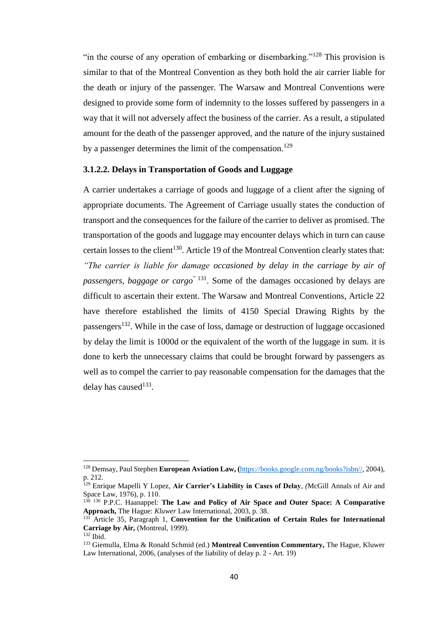"in the course of any operation of embarking or disembarking."<sup>128</sup> This provision is similar to that of the Montreal Convention as they both hold the air carrier liable for the death or injury of the passenger. The Warsaw and Montreal Conventions were designed to provide some form of indemnity to the losses suffered by passengers in a way that it will not adversely affect the business of the carrier. As a result, a stipulated amount for the death of the passenger approved, and the nature of the injury sustained by a passenger determines the limit of the compensation.<sup>129</sup>

#### **3.1.2.2. Delays in Transportation of Goods and Luggage**

A carrier undertakes a carriage of goods and luggage of a client after the signing of appropriate documents. The Agreement of Carriage usually states the conduction of transport and the consequences for the failure of the carrier to deliver as promised. The transportation of the goods and luggage may encounter delays which in turn can cause certain losses to the client<sup>130</sup>. Article 19 of the Montreal Convention clearly states that: *"The carrier is liable for damage occasioned by delay in the carriage by air of passengers, baggage or cargo*" 131. Some of the damages occasioned by delays are difficult to ascertain their extent. The Warsaw and Montreal Conventions, Article 22 have therefore established the limits of 4150 Special Drawing Rights by the passengers<sup>132</sup>. While in the case of loss, damage or destruction of luggage occasioned by delay the limit is 1000d or the equivalent of the worth of the luggage in sum. it is done to kerb the unnecessary claims that could be brought forward by passengers as well as to compel the carrier to pay reasonable compensation for the damages that the delay has caused $133$ .

<sup>128</sup> Demsay, Paul Stephen **European Aviation Law, (**[https://books.google.com.ng/books?isbn//,](https://books.google.com.ng/books?isbn//) 2004), p. 212.

<sup>129</sup> Enrique Mapelli Y Lopez, **Air Carrier's Liability in Cases of Delay***, (*McGill Annals of Air and Space Law, 1976), p. 110.

<sup>&</sup>lt;sup>130</sup> <sup>130</sup> P.P.C. Haanappel: **The Law and Policy of Air Space and Outer Space: A Comparative Approach,** The Hague: *Kluwer* Law International, 2003, p. 38.

<sup>131</sup> Article 35, Paragraph 1, **Convention for the Unification of Certain Rules for International Carriage by Air,** (Montreal, 1999).

 $132$  Ibid.

<sup>133</sup> Giemulla, Elma & Ronald Schmid (ed.) **Montreal Convention Commentary,** The Hague, Kluwer Law International, 2006, (analyses of the liability of delay p. 2 - Art. 19)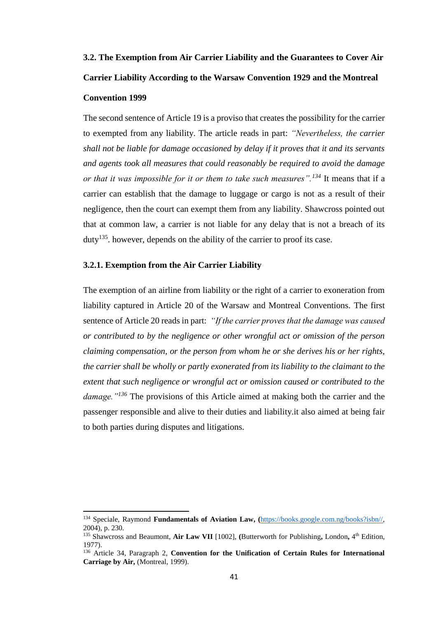# <span id="page-51-0"></span>**3.2. The Exemption from Air Carrier Liability and the Guarantees to Cover Air Carrier Liability According to the Warsaw Convention 1929 and the Montreal Convention 1999**

The second sentence of Article 19 is a proviso that creates the possibility for the carrier to exempted from any liability. The article reads in part: *"Nevertheless, the carrier shall not be liable for damage occasioned by delay if it proves that it and its servants and agents took all measures that could reasonably be required to avoid the damage or that it was impossible for it or them to take such measures".<sup>134</sup>* It means that if a carrier can establish that the damage to luggage or cargo is not as a result of their negligence, then the court can exempt them from any liability. Shawcross pointed out that at common law, a carrier is not liable for any delay that is not a breach of its duty<sup>135</sup>. however, depends on the ability of the carrier to proof its case.

#### <span id="page-51-1"></span>**3.2.1. Exemption from the Air Carrier Liability**

 $\overline{a}$ 

The exemption of an airline from liability or the right of a carrier to exoneration from liability captured in Article 20 of the Warsaw and Montreal Conventions. The first sentence of Article 20 reads in part: *"If the carrier proves that the damage was caused or contributed to by the negligence or other wrongful act or omission of the person claiming compensation, or the person from whom he or she derives his or her rights, the carrier shall be wholly or partly exonerated from its liability to the claimant to the extent that such negligence or wrongful act or omission caused or contributed to the damage."<sup>136</sup>* The provisions of this Article aimed at making both the carrier and the passenger responsible and alive to their duties and liability.it also aimed at being fair to both parties during disputes and litigations.

<sup>134</sup> Speciale, Raymond **Fundamentals of Aviation Law, (**[https://books.google.com.ng/books?isbn//,](https://books.google.com.ng/books?isbn//) 2004), p. 230.

<sup>135</sup> Shawcross and Beaumont, **Air Law VII** [1002], **(**Butterworth for Publishing**,** London**,** 4 th Edition, 1977).

<sup>136</sup> Article 34, Paragraph 2, **Convention for the Unification of Certain Rules for International Carriage by Air,** (Montreal, 1999).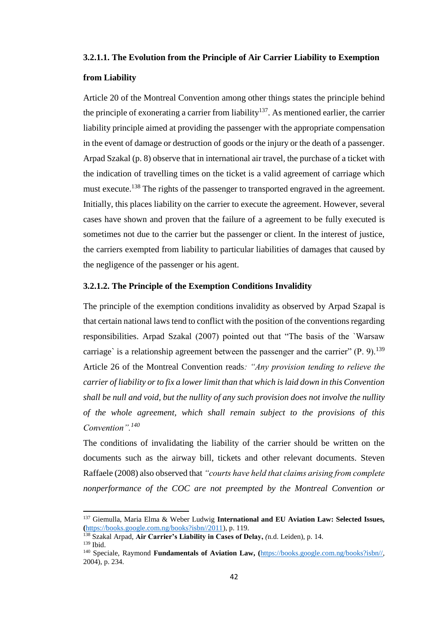#### **3.2.1.1. The Evolution from the Principle of Air Carrier Liability to Exemption**

#### **from Liability**

Article 20 of the Montreal Convention among other things states the principle behind the principle of exonerating a carrier from liability<sup>137</sup>. As mentioned earlier, the carrier liability principle aimed at providing the passenger with the appropriate compensation in the event of damage or destruction of goods or the injury or the death of a passenger. Arpad Szakal (p. 8) observe that in international air travel, the purchase of a ticket with the indication of travelling times on the ticket is a valid agreement of carriage which must execute.<sup>138</sup> The rights of the passenger to transported engraved in the agreement. Initially, this places liability on the carrier to execute the agreement. However, several cases have shown and proven that the failure of a agreement to be fully executed is sometimes not due to the carrier but the passenger or client. In the interest of justice, the carriers exempted from liability to particular liabilities of damages that caused by the negligence of the passenger or his agent.

## **3.2.1.2. The Principle of the Exemption Conditions Invalidity**

The principle of the exemption conditions invalidity as observed by Arpad Szapal is that certain national laws tend to conflict with the position of the conventions regarding responsibilities. Arpad Szakal (2007) pointed out that "The basis of the `Warsaw carriage' is a relationship agreement between the passenger and the carrier"  $(P, 9)$ .<sup>139</sup> Article 26 of the Montreal Convention reads*: "Any provision tending to relieve the carrier of liability or to fix a lower limit than that which is laid down in this Convention shall be null and void, but the nullity of any such provision does not involve the nullity of the whole agreement, which shall remain subject to the provisions of this Convention".<sup>140</sup>*

The conditions of invalidating the liability of the carrier should be written on the documents such as the airway bill, tickets and other relevant documents. Steven Raffaele (2008) also observed that *"courts have held that claims arising from complete nonperformance of the COC are not preempted by the Montreal Convention or* 

<sup>137</sup> Giemulla, Maria Elma & Weber Ludwig **International and EU Aviation Law: Selected Issues, (**[https://books.google.com.ng/books?isbn//2011\)](https://books.google.com.ng/books?isbn//2011), p. 119.

<sup>138</sup> Szakal Arpad, **Air Carrier's Liability in Cases of Delay,** *(*n.d. Leiden), p. 14.  $139$  Ibid.

<sup>140</sup> Speciale, Raymond **Fundamentals of Aviation Law, (**[https://books.google.com.ng/books?isbn//,](https://books.google.com.ng/books?isbn//) 2004), p. 234.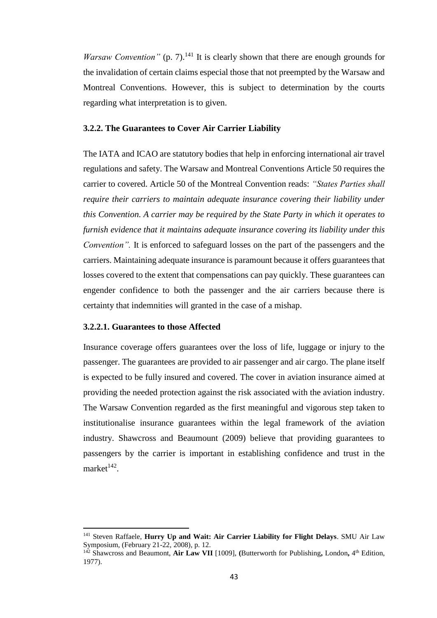*Warsaw Convention*" (p. 7).<sup>141</sup> It is clearly shown that there are enough grounds for the invalidation of certain claims especial those that not preempted by the Warsaw and Montreal Conventions. However, this is subject to determination by the courts regarding what interpretation is to given.

#### <span id="page-53-0"></span>**3.2.2. The Guarantees to Cover Air Carrier Liability**

The IATA and ICAO are statutory bodies that help in enforcing international air travel regulations and safety. The Warsaw and Montreal Conventions Article 50 requires the carrier to covered. Article 50 of the Montreal Convention reads: *"States Parties shall require their carriers to maintain adequate insurance covering their liability under this Convention. A carrier may be required by the State Party in which it operates to furnish evidence that it maintains adequate insurance covering its liability under this Convention".* It is enforced to safeguard losses on the part of the passengers and the carriers. Maintaining adequate insurance is paramount because it offers guarantees that losses covered to the extent that compensations can pay quickly. These guarantees can engender confidence to both the passenger and the air carriers because there is certainty that indemnities will granted in the case of a mishap.

### **3.2.2.1. Guarantees to those Affected**

 $\overline{\phantom{a}}$ 

Insurance coverage offers guarantees over the loss of life, luggage or injury to the passenger. The guarantees are provided to air passenger and air cargo. The plane itself is expected to be fully insured and covered. The cover in aviation insurance aimed at providing the needed protection against the risk associated with the aviation industry. The Warsaw Convention regarded as the first meaningful and vigorous step taken to institutionalise insurance guarantees within the legal framework of the aviation industry. Shawcross and Beaumount (2009) believe that providing guarantees to passengers by the carrier is important in establishing confidence and trust in the  $market^{142}.$ 

<sup>&</sup>lt;sup>141</sup> Steven Raffaele, **Hurry Up and Wait: Air Carrier Liability for Flight Delays**. SMU Air Law Symposium, (February 21-22, 2008), p. 12.

<sup>&</sup>lt;sup>142</sup> Shawcross and Beaumont, Air Law VII [1009], (Butterworth for Publishing, London, 4<sup>th</sup> Edition, 1977).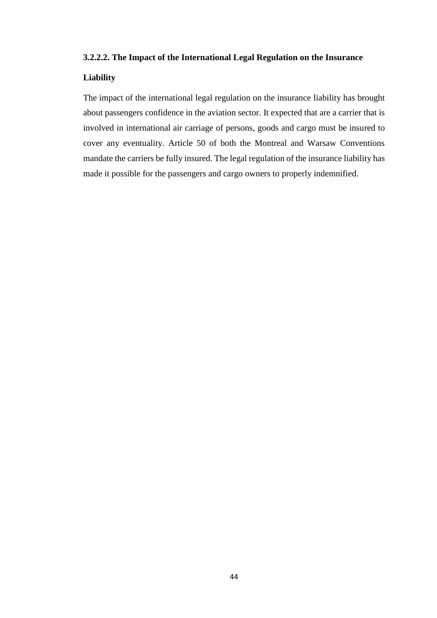### **3.2.2.2. The Impact of the International Legal Regulation on the Insurance**

# **Liability**

The impact of the international legal regulation on the insurance liability has brought about passengers confidence in the aviation sector. It expected that are a carrier that is involved in international air carriage of persons, goods and cargo must be insured to cover any eventuality. Article 50 of both the Montreal and Warsaw Conventions mandate the carriers be fully insured. The legal regulation of the insurance liability has made it possible for the passengers and cargo owners to properly indemnified.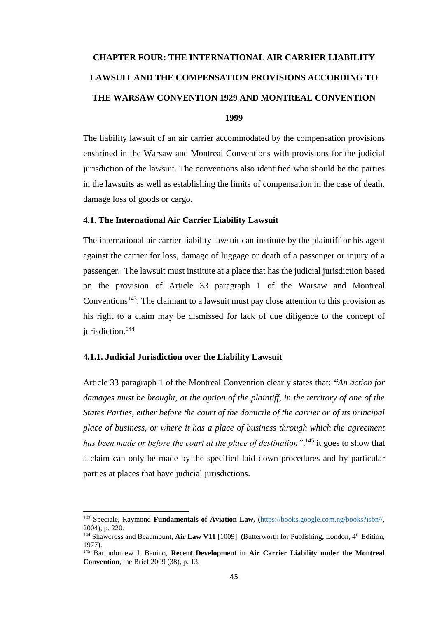# <span id="page-55-0"></span>**CHAPTER FOUR: THE INTERNATIONAL AIR CARRIER LIABILITY LAWSUIT AND THE COMPENSATION PROVISIONS ACCORDING TO THE WARSAW CONVENTION 1929 AND MONTREAL CONVENTION**

## **1999**

The liability lawsuit of an air carrier accommodated by the compensation provisions enshrined in the Warsaw and Montreal Conventions with provisions for the judicial jurisdiction of the lawsuit. The conventions also identified who should be the parties in the lawsuits as well as establishing the limits of compensation in the case of death, damage loss of goods or cargo.

#### <span id="page-55-1"></span>**4.1. The International Air Carrier Liability Lawsuit**

The international air carrier liability lawsuit can institute by the plaintiff or his agent against the carrier for loss, damage of luggage or death of a passenger or injury of a passenger. The lawsuit must institute at a place that has the judicial jurisdiction based on the provision of Article 33 paragraph 1 of the Warsaw and Montreal Conventions<sup>143</sup>. The claimant to a lawsuit must pay close attention to this provision as his right to a claim may be dismissed for lack of due diligence to the concept of jurisdiction.<sup>144</sup>

### <span id="page-55-2"></span>**4.1.1. Judicial Jurisdiction over the Liability Lawsuit**

 $\overline{a}$ 

Article 33 paragraph 1 of the Montreal Convention clearly states that: *"An action for damages must be brought, at the option of the plaintiff, in the territory of one of the States Parties, either before the court of the domicile of the carrier or of its principal place of business, or where it has a place of business through which the agreement* has been made or before the court at the place of destination".<sup>145</sup> it goes to show that a claim can only be made by the specified laid down procedures and by particular parties at places that have judicial jurisdictions.

<sup>143</sup> Speciale, Raymond **Fundamentals of Aviation Law, (**[https://books.google.com.ng/books?isbn//,](https://books.google.com.ng/books?isbn//) 2004), p. 220.

<sup>&</sup>lt;sup>144</sup> Shawcross and Beaumount, Air Law V11 [1009], (Butterworth for Publishing, London, 4<sup>th</sup> Edition, 1977).

<sup>145</sup> Bartholomew J. Banino, **Recent Development in Air Carrier Liability under the Montreal Convention**, the Brief 2009 (38), p. 13.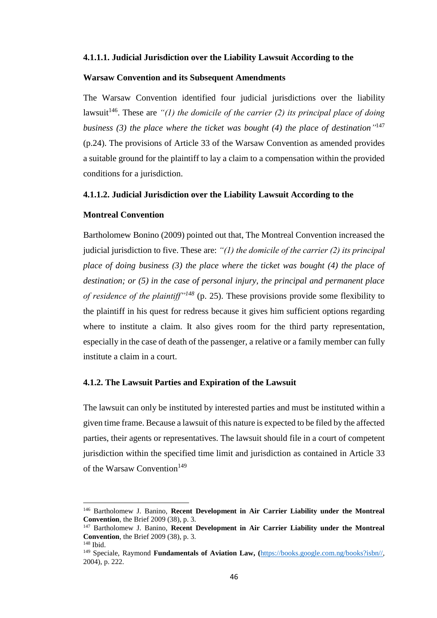#### **4.1.1.1. Judicial Jurisdiction over the Liability Lawsuit According to the**

#### **Warsaw Convention and its Subsequent Amendments**

The Warsaw Convention identified four judicial jurisdictions over the liability lawsuit<sup>146</sup>. These are  $\lq{n}$  the domicile of the carrier (2) its principal place of doing *business (3) the place where the ticket was bought (4) the place of destination"* 147 (p.24). The provisions of Article 33 of the Warsaw Convention as amended provides a suitable ground for the plaintiff to lay a claim to a compensation within the provided conditions for a jurisdiction.

#### **4.1.1.2. Judicial Jurisdiction over the Liability Lawsuit According to the**

### **Montreal Convention**

 $\overline{\phantom{a}}$ 

Bartholomew Bonino (2009) pointed out that, The Montreal Convention increased the judicial jurisdiction to five. These are: *"(1) the domicile of the carrier (2) its principal place of doing business (3) the place where the ticket was bought (4) the place of destination; or (5) in the case of personal injury, the principal and permanent place of residence of the plaintiff"<sup>148</sup>* (p. 25). These provisions provide some flexibility to the plaintiff in his quest for redress because it gives him sufficient options regarding where to institute a claim. It also gives room for the third party representation, especially in the case of death of the passenger, a relative or a family member can fully institute a claim in a court.

### <span id="page-56-0"></span>**4.1.2. The Lawsuit Parties and Expiration of the Lawsuit**

The lawsuit can only be instituted by interested parties and must be instituted within a given time frame. Because a lawsuit of this nature is expected to be filed by the affected parties, their agents or representatives. The lawsuit should file in a court of competent jurisdiction within the specified time limit and jurisdiction as contained in Article 33 of the Warsaw Convention<sup>149</sup>

<sup>146</sup> Bartholomew J. Banino, **Recent Development in Air Carrier Liability under the Montreal Convention**, the Brief 2009 (38), p. 3.

<sup>&</sup>lt;sup>147</sup> Bartholomew J. Banino, **Recent Development in Air Carrier Liability under the Montreal Convention**, the Brief 2009 (38), p. 3.  $148$  Ibid.

<sup>149</sup> Speciale, Raymond **Fundamentals of Aviation Law, (**[https://books.google.com.ng/books?isbn//,](https://books.google.com.ng/books?isbn//) 2004), p. 222.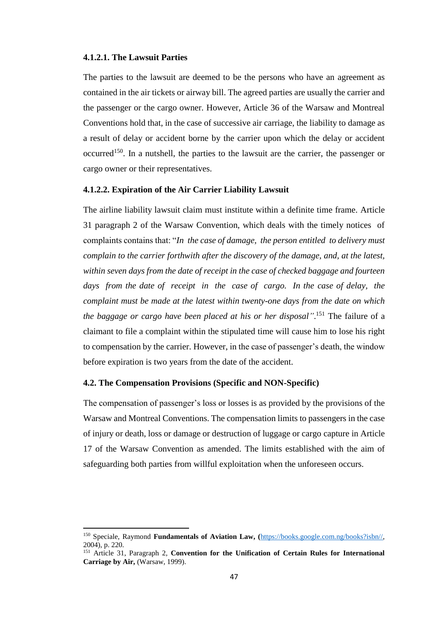#### **4.1.2.1. The Lawsuit Parties**

 $\overline{\phantom{a}}$ 

The parties to the lawsuit are deemed to be the persons who have an agreement as contained in the air tickets or airway bill. The agreed parties are usually the carrier and the passenger or the cargo owner. However, Article 36 of the Warsaw and Montreal Conventions hold that, in the case of successive air carriage, the liability to damage as a result of delay or accident borne by the carrier upon which the delay or accident occurred<sup>150</sup>. In a nutshell, the parties to the lawsuit are the carrier, the passenger or cargo owner or their representatives.

#### **4.1.2.2. Expiration of the Air Carrier Liability Lawsuit**

The airline liability lawsuit claim must institute within a definite time frame. Article 31 paragraph 2 of the Warsaw Convention, which deals with the timely notices of complaints contains that: "*In the case of damage, the person entitled to delivery must complain to the carrier forthwith after the discovery of the damage, and, at the latest, within seven days from the date of receipt in the case of checked baggage and fourteen days from the date of receipt in the case of cargo. In the case of delay, the complaint must be made at the latest within twenty-one days from the date on which the baggage or cargo have been placed at his or her disposal"*. <sup>151</sup> The failure of a claimant to file a complaint within the stipulated time will cause him to lose his right to compensation by the carrier. However, in the case of passenger's death, the window before expiration is two years from the date of the accident.

#### <span id="page-57-0"></span>**4.2. The Compensation Provisions (Specific and NON-Specific)**

The compensation of passenger's loss or losses is as provided by the provisions of the Warsaw and Montreal Conventions. The compensation limits to passengers in the case of injury or death, loss or damage or destruction of luggage or cargo capture in Article 17 of the Warsaw Convention as amended. The limits established with the aim of safeguarding both parties from willful exploitation when the unforeseen occurs.

<sup>150</sup> Speciale, Raymond **Fundamentals of Aviation Law, (**[https://books.google.com.ng/books?isbn//,](https://books.google.com.ng/books?isbn//) 2004), p. 220.

<sup>151</sup> Article 31, Paragraph 2, **Convention for the Unification of Certain Rules for International Carriage by Air,** (Warsaw, 1999).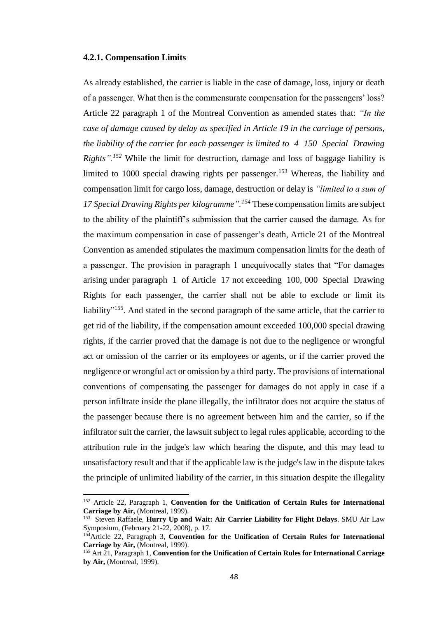#### <span id="page-58-0"></span>**4.2.1. Compensation Limits**

 $\overline{a}$ 

As already established, the carrier is liable in the case of damage, loss, injury or death of a passenger. What then is the commensurate compensation for the passengers' loss? Article 22 paragraph 1 of the Montreal Convention as amended states that: *"In the case of damage caused by delay as specified in Article 19 in the carriage of persons, the liability of the carrier for each passenger is limited to 4 150 Special Drawing Rights".*<sup>152</sup> While the limit for destruction, damage and loss of baggage liability is limited to 1000 special drawing rights per passenger.<sup>153</sup> Whereas, the liability and compensation limit for cargo loss, damage, destruction or delay is *"limited to a sum of 17 Special Drawing Rights per kilogramme".<sup>154</sup>* These compensation limits are subject to the ability of the plaintiff's submission that the carrier caused the damage. As for the maximum compensation in case of passenger's death, Article 21 of the Montreal Convention as amended stipulates the maximum compensation limits for the death of a passenger. The provision in paragraph 1 unequivocally states that "For damages arising under paragraph 1 of Article 17 not exceeding 100, 000 Special Drawing Rights for each passenger, the carrier shall not be able to exclude or limit its liability"<sup>155</sup>. And stated in the second paragraph of the same article, that the carrier to get rid of the liability, if the compensation amount exceeded 100,000 special drawing rights, if the carrier proved that the damage is not due to the negligence or wrongful act or omission of the carrier or its employees or agents, or if the carrier proved the negligence or wrongful act or omission by a third party. The provisions of international conventions of compensating the passenger for damages do not apply in case if a person infiltrate inside the plane illegally, the infiltrator does not acquire the status of the passenger because there is no agreement between him and the carrier, so if the infiltrator suit the carrier, the lawsuit subject to legal rules applicable, according to the attribution rule in the judge's law which hearing the dispute, and this may lead to unsatisfactory result and that if the applicable law is the judge's law in the dispute takes the principle of unlimited liability of the carrier, in this situation despite the illegality

<sup>152</sup> Article 22, Paragraph 1, **Convention for the Unification of Certain Rules for International Carriage by Air,** (Montreal, 1999).

<sup>153</sup> Steven Raffaele, **Hurry Up and Wait: Air Carrier Liability for Flight Delays**. SMU Air Law Symposium, (February 21-22, 2008), p. 17.

<sup>154</sup>Article 22, Paragraph 3, **Convention for the Unification of Certain Rules for International Carriage by Air,** (Montreal, 1999).

<sup>155</sup> Art 21, Paragraph 1, **Convention for the Unification of Certain Rules for International Carriage by Air,** (Montreal, 1999).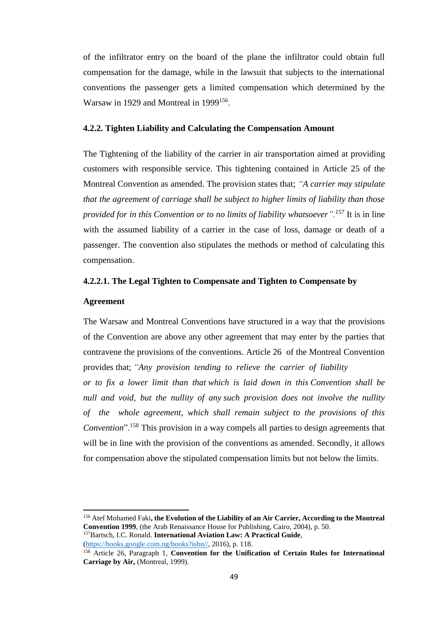of the infiltrator entry on the board of the plane the infiltrator could obtain full compensation for the damage, while in the lawsuit that subjects to the international conventions the passenger gets a limited compensation which determined by the Warsaw in 1929 and Montreal in 1999<sup>156</sup>.

#### <span id="page-59-0"></span>**4.2.2. Tighten Liability and Calculating the Compensation Amount**

The Tightening of the liability of the carrier in air transportation aimed at providing customers with responsible service. This tightening contained in Article 25 of the Montreal Convention as amended. The provision states that; *"A carrier may stipulate that the agreement of carriage shall be subject to higher limits of liability than those provided for in this Convention or to no limits of liability whatsoever".<sup>157</sup>* It is in line with the assumed liability of a carrier in the case of loss, damage or death of a passenger. The convention also stipulates the methods or method of calculating this compensation.

#### **4.2.2.1. The Legal Tighten to Compensate and Tighten to Compensate by**

# **Agreement**

 $\overline{\phantom{a}}$ 

The Warsaw and Montreal Conventions have structured in a way that the provisions of the Convention are above any other agreement that may enter by the parties that contravene the provisions of the conventions. Article 26 of the Montreal Convention provides that; *"Any provision tending to relieve the carrier of liability or to fix a lower limit than that which is laid down in this Convention shall be null and void, but the nullity of any such provision does not involve the nullity of the whole agreement, which shall remain subject to the provisions of this Convention*".<sup>158</sup> This provision in a way compels all parties to design agreements that will be in line with the provision of the conventions as amended. Secondly, it allows for compensation above the stipulated compensation limits but not below the limits.

```
(https://books.google.com.ng/books?isbn//, 2016), p. 118.
```
<sup>156</sup> Atef Mohamed Faki**, the Evolution of the Liability of an Air Carrier, According to the Montreal Convention 1999**, (the Arab Renaissance House for Publishing, Cairo, 2004), p. 50. <sup>157</sup>Bartsch, I.C. Ronald. **International Aviation Law: A Practical Guide**,

<sup>158</sup> Article 26, Paragraph 1, **Convention for the Unification of Certain Rules for International Carriage by Air,** (Montreal, 1999).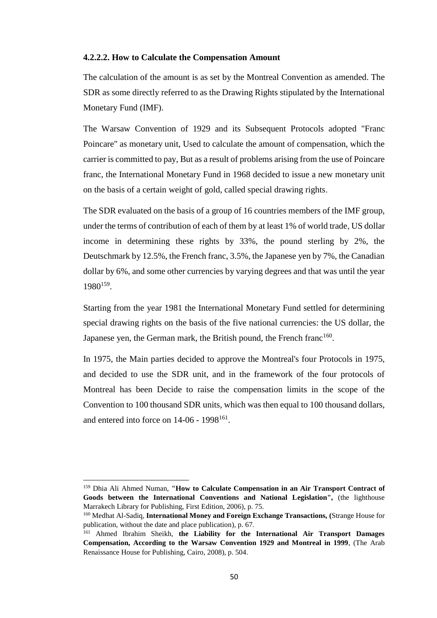#### **4.2.2.2. How to Calculate the Compensation Amount**

The calculation of the amount is as set by the Montreal Convention as amended. The SDR as some directly referred to as the Drawing Rights stipulated by the International Monetary Fund (IMF).

The Warsaw Convention of 1929 and its Subsequent Protocols adopted "Franc Poincare" as monetary unit, Used to calculate the amount of compensation, which the carrier is committed to pay, But as a result of problems arising from the use of Poincare franc, the International Monetary Fund in 1968 decided to issue a new monetary unit on the basis of a certain weight of gold, called special drawing rights.

The SDR evaluated on the basis of a group of 16 countries members of the IMF group, under the terms of contribution of each of them by at least 1% of world trade, US dollar income in determining these rights by 33%, the pound sterling by 2%, the Deutschmark by 12.5%, the French franc, 3.5%, the Japanese yen by 7%, the Canadian dollar by 6%, and some other currencies by varying degrees and that was until the year 1980<sup>159</sup> .

Starting from the year 1981 the International Monetary Fund settled for determining special drawing rights on the basis of the five national currencies: the US dollar, the Japanese yen, the German mark, the British pound, the French franc<sup>160</sup>.

In 1975, the Main parties decided to approve the Montreal's four Protocols in 1975, and decided to use the SDR unit, and in the framework of the four protocols of Montreal has been Decide to raise the compensation limits in the scope of the Convention to 100 thousand SDR units, which was then equal to 100 thousand dollars, and entered into force on  $14-06$  -  $1998^{161}$ .

<sup>159</sup> Dhia Ali Ahmed Numan, **"How to Calculate Compensation in an Air Transport Contract of Goods between the International Conventions and National Legislation",** (the lighthouse Marrakech Library for Publishing, First Edition, 2006), p. 75.

<sup>160</sup> Medhat Al-Sadiq, **International Money and Foreign Exchange Transactions, (**Strange House for publication, without the date and place publication), p. 67.

<sup>161</sup> Ahmed Ibrahim Sheikh, **the Liability for the International Air Transport Damages Compensation, According to the Warsaw Convention 1929 and Montreal in 1999**, (The Arab Renaissance House for Publishing, Cairo, 2008), p. 504.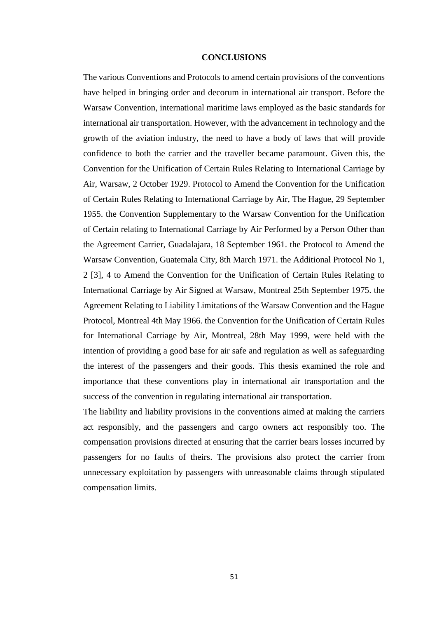#### **CONCLUSIONS**

<span id="page-61-0"></span>The various Conventions and Protocols to amend certain provisions of the conventions have helped in bringing order and decorum in international air transport. Before the Warsaw Convention, international maritime laws employed as the basic standards for international air transportation. However, with the advancement in technology and the growth of the aviation industry, the need to have a body of laws that will provide confidence to both the carrier and the traveller became paramount. Given this, the Convention for the Unification of Certain Rules Relating to International Carriage by Air, Warsaw, 2 October 1929. Protocol to Amend the Convention for the Unification of Certain Rules Relating to International Carriage by Air, The Hague, 29 September 1955. the Convention Supplementary to the Warsaw Convention for the Unification of Certain relating to International Carriage by Air Performed by a Person Other than the Agreement Carrier, Guadalajara, 18 September 1961. the Protocol to Amend the Warsaw Convention, Guatemala City, 8th March 1971. the Additional Protocol No 1, 2 [3], 4 to Amend the Convention for the Unification of Certain Rules Relating to International Carriage by Air Signed at Warsaw, Montreal 25th September 1975. the Agreement Relating to Liability Limitations of the Warsaw Convention and the Hague Protocol, Montreal 4th May 1966. the Convention for the Unification of Certain Rules for International Carriage by Air, Montreal, 28th May 1999, were held with the intention of providing a good base for air safe and regulation as well as safeguarding the interest of the passengers and their goods. This thesis examined the role and importance that these conventions play in international air transportation and the success of the convention in regulating international air transportation.

The liability and liability provisions in the conventions aimed at making the carriers act responsibly, and the passengers and cargo owners act responsibly too. The compensation provisions directed at ensuring that the carrier bears losses incurred by passengers for no faults of theirs. The provisions also protect the carrier from unnecessary exploitation by passengers with unreasonable claims through stipulated compensation limits.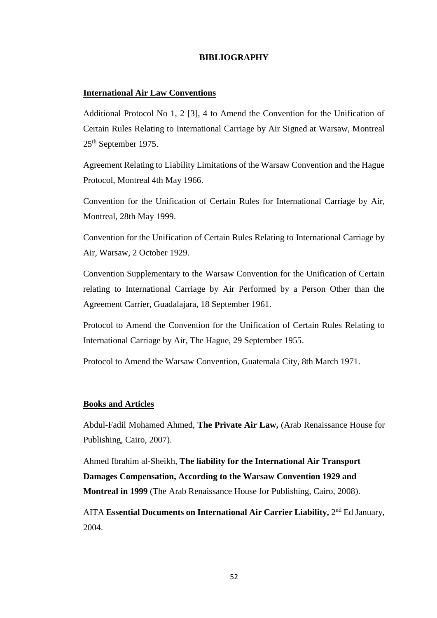# **BIBLIOGRAPHY**

## <span id="page-62-0"></span>**International Air Law Conventions**

Additional Protocol No 1, 2 [3], 4 to Amend the Convention for the Unification of Certain Rules Relating to International Carriage by Air Signed at Warsaw, Montreal 25th September 1975.

Agreement Relating to Liability Limitations of the Warsaw Convention and the Hague Protocol, Montreal 4th May 1966.

Convention for the Unification of Certain Rules for International Carriage by Air, Montreal, 28th May 1999.

Convention for the Unification of Certain Rules Relating to International Carriage by Air, Warsaw, 2 October 1929.

Convention Supplementary to the Warsaw Convention for the Unification of Certain relating to International Carriage by Air Performed by a Person Other than the Agreement Carrier, Guadalajara, 18 September 1961.

Protocol to Amend the Convention for the Unification of Certain Rules Relating to International Carriage by Air, The Hague, 29 September 1955.

Protocol to Amend the Warsaw Convention, Guatemala City, 8th March 1971.

#### **Books and Articles**

Abdul-Fadil Mohamed Ahmed, **The Private Air Law,** (Arab Renaissance House for Publishing, Cairo, 2007).

Ahmed Ibrahim al-Sheikh, **The liability for the International Air Transport Damages Compensation, According to the Warsaw Convention 1929 and Montreal in 1999** (The Arab Renaissance House for Publishing, Cairo, 2008).

AITA Essential Documents on International Air Carrier Liability, 2<sup>nd</sup> Ed January, 2004.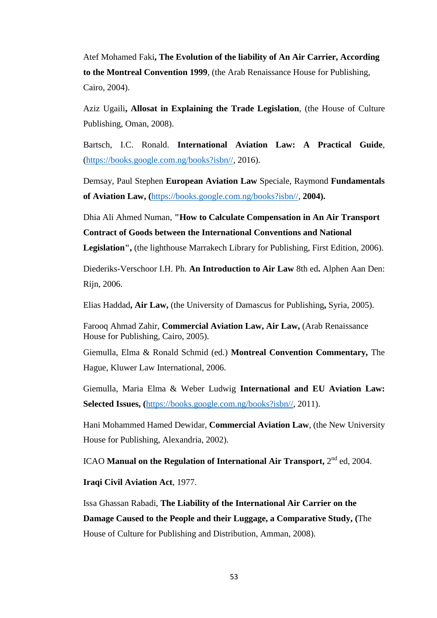Atef Mohamed Faki**, The Evolution of the liability of An Air Carrier, According to the Montreal Convention 1999**, (the Arab Renaissance House for Publishing, Cairo, 2004).

Aziz Ugaili**, Allosat in Explaining the Trade Legislation**, (the House of Culture Publishing, Oman, 2008).

Bartsch, I.C. Ronald. **International Aviation Law: A Practical Guide**, [\(https://books.google.com.ng/books?isbn//,](https://books.google.com.ng/books?isbn//) 2016).

Demsay, Paul Stephen **European Aviation Law** Speciale, Raymond **Fundamentals of Aviation Law, (**[https://books.google.com.ng/books?isbn//,](https://books.google.com.ng/books?isbn//) **2004).**

Dhia Ali Ahmed Numan, **"How to Calculate Compensation in An Air Transport Contract of Goods between the International Conventions and National Legislation",** (the lighthouse Marrakech Library for Publishing, First Edition, 2006).

Diederiks-Verschoor I.H. Ph. **An Introduction to Air Law** 8th ed**.** Alphen Aan Den: Rijn, 2006.

Elias Haddad**, Air Law,** (the University of Damascus for Publishing**,** Syria, 2005).

Farooq Ahmad Zahir, **Commercial Aviation Law, Air Law,** (Arab Renaissance House for Publishing, Cairo, 2005).

Giemulla, Elma & Ronald Schmid (ed.) **Montreal Convention Commentary,** The Hague, Kluwer Law International, 2006.

Giemulla, Maria Elma & Weber Ludwig **International and EU Aviation Law: Selected Issues, (**[https://books.google.com.ng/books?isbn//,](https://books.google.com.ng/books?isbn//) 2011).

Hani Mohammed Hamed Dewidar, **Commercial Aviation Law**, (the New University House for Publishing, Alexandria, 2002).

ICAO Manual on the Regulation of International Air Transport, 2<sup>nd</sup> ed, 2004.

**Iraqi Civil Aviation Act**, 1977.

Issa Ghassan Rabadi, **The Liability of the International Air Carrier on the Damage Caused to the People and their Luggage, a Comparative Study, (**The House of Culture for Publishing and Distribution, Amman, 2008).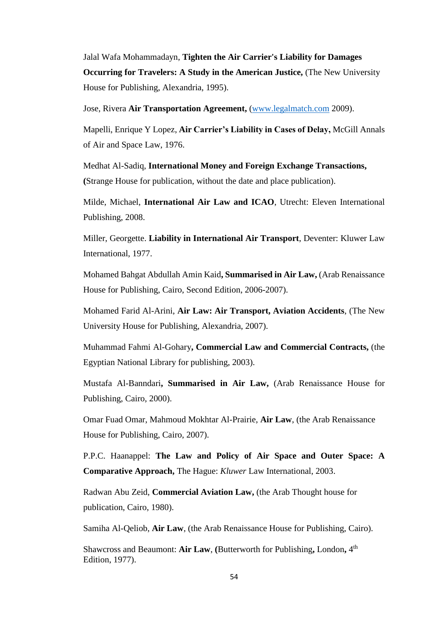Jalal Wafa Mohammadayn, **Tighten the Air Carrier's Liability for Damages Occurring for Travelers: A Study in the American Justice,** (The New University House for Publishing, Alexandria, 1995).

Jose, Rivera **Air Transportation Agreement,** [\(www.legalmatch.com](http://www.legalmatch.com/) 2009).

Mapelli, Enrique Y Lopez, **Air Carrier's Liability in Cases of Delay,** McGill Annals of Air and Space Law, 1976.

Medhat Al-Sadiq, **International Money and Foreign Exchange Transactions, (**Strange House for publication, without the date and place publication).

Milde, Michael, **International Air Law and ICAO**, Utrecht: Eleven International Publishing, 2008.

Miller, Georgette. **Liability in International Air Transport**, Deventer: Kluwer Law International, 1977.

Mohamed Bahgat Abdullah Amin Kaid**, Summarised in Air Law,** (Arab Renaissance House for Publishing, Cairo, Second Edition, 2006-2007).

Mohamed Farid Al-Arini, **Air Law: Air Transport, Aviation Accidents**, (The New University House for Publishing, Alexandria, 2007).

Muhammad Fahmi Al-Gohary**, Commercial Law and Commercial Contracts,** (the Egyptian National Library for publishing, 2003).

Mustafa Al-Banndari**, Summarised in Air Law,** (Arab Renaissance House for Publishing, Cairo, 2000).

Omar Fuad Omar, Mahmoud Mokhtar Al-Prairie, **Air Law**, (the Arab Renaissance House for Publishing, Cairo, 2007).

P.P.C. Haanappel: **The Law and Policy of Air Space and Outer Space: A Comparative Approach,** The Hague: *Kluwer* Law International, 2003.

Radwan Abu Zeid, **Commercial Aviation Law,** (the Arab Thought house for publication, Cairo, 1980).

Samiha Al-Qeliob, **Air Law**, (the Arab Renaissance House for Publishing, Cairo).

Shawcross and Beaumont: **Air Law**, **(**Butterworth for Publishing**,** London**,** 4 th Edition, 1977).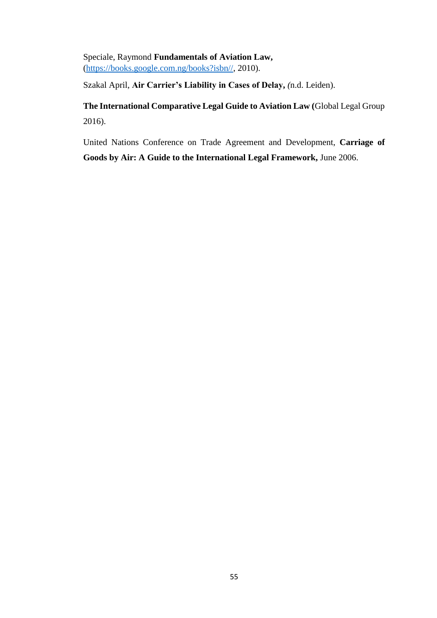Speciale, Raymond **Fundamentals of Aviation Law,** [\(https://books.google.com.ng/books?isbn//,](https://books.google.com.ng/books?isbn//) 2010).

Szakal April, **Air Carrier's Liability in Cases of Delay,** *(*n.d. Leiden).

**The International Comparative Legal Guide to Aviation Law (**Global Legal Group 2016).

United Nations Conference on Trade Agreement and Development, **Carriage of Goods by Air: A Guide to the International Legal Framework,** June 2006.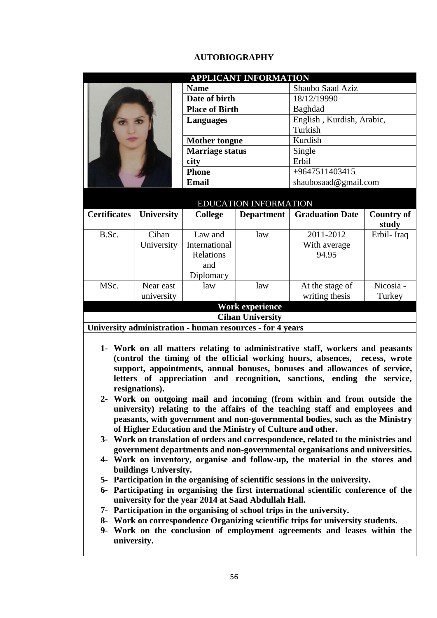# **AUTOBIOGRAPHY**

<span id="page-66-0"></span>

|            | <b>APPLICANT INFORMATION</b><br><b>Name</b>                        |                                                                                                      | Shaubo Saad Aziz                                                                                                           |                                                                                                                                                                                                                                                                                                                                                                                                                                                                                                                                                                                                                                                                                                                                                                                                                                                                                                                                                                                                                                                                                                                                                                                                                                                                                                                                                                                                                                                                                                                                                                                                   |
|------------|--------------------------------------------------------------------|------------------------------------------------------------------------------------------------------|----------------------------------------------------------------------------------------------------------------------------|---------------------------------------------------------------------------------------------------------------------------------------------------------------------------------------------------------------------------------------------------------------------------------------------------------------------------------------------------------------------------------------------------------------------------------------------------------------------------------------------------------------------------------------------------------------------------------------------------------------------------------------------------------------------------------------------------------------------------------------------------------------------------------------------------------------------------------------------------------------------------------------------------------------------------------------------------------------------------------------------------------------------------------------------------------------------------------------------------------------------------------------------------------------------------------------------------------------------------------------------------------------------------------------------------------------------------------------------------------------------------------------------------------------------------------------------------------------------------------------------------------------------------------------------------------------------------------------------------|
|            |                                                                    |                                                                                                      | 18/12/19990                                                                                                                |                                                                                                                                                                                                                                                                                                                                                                                                                                                                                                                                                                                                                                                                                                                                                                                                                                                                                                                                                                                                                                                                                                                                                                                                                                                                                                                                                                                                                                                                                                                                                                                                   |
|            |                                                                    |                                                                                                      | Baghdad                                                                                                                    |                                                                                                                                                                                                                                                                                                                                                                                                                                                                                                                                                                                                                                                                                                                                                                                                                                                                                                                                                                                                                                                                                                                                                                                                                                                                                                                                                                                                                                                                                                                                                                                                   |
|            | <b>Languages</b>                                                   |                                                                                                      |                                                                                                                            |                                                                                                                                                                                                                                                                                                                                                                                                                                                                                                                                                                                                                                                                                                                                                                                                                                                                                                                                                                                                                                                                                                                                                                                                                                                                                                                                                                                                                                                                                                                                                                                                   |
|            |                                                                    |                                                                                                      | Turkish                                                                                                                    |                                                                                                                                                                                                                                                                                                                                                                                                                                                                                                                                                                                                                                                                                                                                                                                                                                                                                                                                                                                                                                                                                                                                                                                                                                                                                                                                                                                                                                                                                                                                                                                                   |
|            |                                                                    |                                                                                                      | Kurdish                                                                                                                    |                                                                                                                                                                                                                                                                                                                                                                                                                                                                                                                                                                                                                                                                                                                                                                                                                                                                                                                                                                                                                                                                                                                                                                                                                                                                                                                                                                                                                                                                                                                                                                                                   |
|            | <b>Marriage status</b>                                             |                                                                                                      | Single                                                                                                                     |                                                                                                                                                                                                                                                                                                                                                                                                                                                                                                                                                                                                                                                                                                                                                                                                                                                                                                                                                                                                                                                                                                                                                                                                                                                                                                                                                                                                                                                                                                                                                                                                   |
|            | city                                                               |                                                                                                      | Erbil                                                                                                                      |                                                                                                                                                                                                                                                                                                                                                                                                                                                                                                                                                                                                                                                                                                                                                                                                                                                                                                                                                                                                                                                                                                                                                                                                                                                                                                                                                                                                                                                                                                                                                                                                   |
|            | <b>Phone</b>                                                       |                                                                                                      | +9647511403415                                                                                                             |                                                                                                                                                                                                                                                                                                                                                                                                                                                                                                                                                                                                                                                                                                                                                                                                                                                                                                                                                                                                                                                                                                                                                                                                                                                                                                                                                                                                                                                                                                                                                                                                   |
|            | <b>Email</b>                                                       |                                                                                                      | shaubosaad@gmail.com                                                                                                       |                                                                                                                                                                                                                                                                                                                                                                                                                                                                                                                                                                                                                                                                                                                                                                                                                                                                                                                                                                                                                                                                                                                                                                                                                                                                                                                                                                                                                                                                                                                                                                                                   |
|            |                                                                    |                                                                                                      |                                                                                                                            |                                                                                                                                                                                                                                                                                                                                                                                                                                                                                                                                                                                                                                                                                                                                                                                                                                                                                                                                                                                                                                                                                                                                                                                                                                                                                                                                                                                                                                                                                                                                                                                                   |
|            |                                                                    |                                                                                                      |                                                                                                                            |                                                                                                                                                                                                                                                                                                                                                                                                                                                                                                                                                                                                                                                                                                                                                                                                                                                                                                                                                                                                                                                                                                                                                                                                                                                                                                                                                                                                                                                                                                                                                                                                   |
|            |                                                                    |                                                                                                      |                                                                                                                            | <b>Country of</b>                                                                                                                                                                                                                                                                                                                                                                                                                                                                                                                                                                                                                                                                                                                                                                                                                                                                                                                                                                                                                                                                                                                                                                                                                                                                                                                                                                                                                                                                                                                                                                                 |
|            |                                                                    |                                                                                                      |                                                                                                                            | study<br>Erbil-Iraq                                                                                                                                                                                                                                                                                                                                                                                                                                                                                                                                                                                                                                                                                                                                                                                                                                                                                                                                                                                                                                                                                                                                                                                                                                                                                                                                                                                                                                                                                                                                                                               |
|            |                                                                    |                                                                                                      |                                                                                                                            |                                                                                                                                                                                                                                                                                                                                                                                                                                                                                                                                                                                                                                                                                                                                                                                                                                                                                                                                                                                                                                                                                                                                                                                                                                                                                                                                                                                                                                                                                                                                                                                                   |
|            |                                                                    |                                                                                                      |                                                                                                                            |                                                                                                                                                                                                                                                                                                                                                                                                                                                                                                                                                                                                                                                                                                                                                                                                                                                                                                                                                                                                                                                                                                                                                                                                                                                                                                                                                                                                                                                                                                                                                                                                   |
|            |                                                                    |                                                                                                      |                                                                                                                            |                                                                                                                                                                                                                                                                                                                                                                                                                                                                                                                                                                                                                                                                                                                                                                                                                                                                                                                                                                                                                                                                                                                                                                                                                                                                                                                                                                                                                                                                                                                                                                                                   |
|            |                                                                    |                                                                                                      |                                                                                                                            |                                                                                                                                                                                                                                                                                                                                                                                                                                                                                                                                                                                                                                                                                                                                                                                                                                                                                                                                                                                                                                                                                                                                                                                                                                                                                                                                                                                                                                                                                                                                                                                                   |
| Near east  | law                                                                | law                                                                                                  |                                                                                                                            | Nicosia -                                                                                                                                                                                                                                                                                                                                                                                                                                                                                                                                                                                                                                                                                                                                                                                                                                                                                                                                                                                                                                                                                                                                                                                                                                                                                                                                                                                                                                                                                                                                                                                         |
| university |                                                                    |                                                                                                      |                                                                                                                            | Turkey                                                                                                                                                                                                                                                                                                                                                                                                                                                                                                                                                                                                                                                                                                                                                                                                                                                                                                                                                                                                                                                                                                                                                                                                                                                                                                                                                                                                                                                                                                                                                                                            |
|            |                                                                    |                                                                                                      |                                                                                                                            |                                                                                                                                                                                                                                                                                                                                                                                                                                                                                                                                                                                                                                                                                                                                                                                                                                                                                                                                                                                                                                                                                                                                                                                                                                                                                                                                                                                                                                                                                                                                                                                                   |
|            |                                                                    |                                                                                                      |                                                                                                                            |                                                                                                                                                                                                                                                                                                                                                                                                                                                                                                                                                                                                                                                                                                                                                                                                                                                                                                                                                                                                                                                                                                                                                                                                                                                                                                                                                                                                                                                                                                                                                                                                   |
|            |                                                                    |                                                                                                      |                                                                                                                            |                                                                                                                                                                                                                                                                                                                                                                                                                                                                                                                                                                                                                                                                                                                                                                                                                                                                                                                                                                                                                                                                                                                                                                                                                                                                                                                                                                                                                                                                                                                                                                                                   |
|            |                                                                    |                                                                                                      |                                                                                                                            |                                                                                                                                                                                                                                                                                                                                                                                                                                                                                                                                                                                                                                                                                                                                                                                                                                                                                                                                                                                                                                                                                                                                                                                                                                                                                                                                                                                                                                                                                                                                                                                                   |
|            | University<br>Cihan<br>University<br>resignations).<br>university. | <b>College</b><br>Law and<br>International<br>Relations<br>and<br>Diplomacy<br>buildings University. | Date of birth<br><b>Place of Birth</b><br><b>Mother tongue</b><br>law<br><b>Work experience</b><br><b>Cihan University</b> | English, Kurdish, Arabic,<br>EDUCATION INFORMATION<br><b>Graduation Date</b><br><b>Department</b><br>2011-2012<br>With average<br>94.95<br>At the stage of<br>writing thesis<br>University administration - human resources - for 4 years<br>1- Work on all matters relating to administrative staff, workers and peasants<br>(control the timing of the official working hours, absences, recess, wrote<br>support, appointments, annual bonuses, bonuses and allowances of service,<br>letters of appreciation and recognition, sanctions, ending the service,<br>2- Work on outgoing mail and incoming (from within and from outside the<br>university) relating to the affairs of the teaching staff and employees and<br>peasants, with government and non-governmental bodies, such as the Ministry<br>of Higher Education and the Ministry of Culture and other.<br>3- Work on translation of orders and correspondence, related to the ministries and<br>government departments and non-governmental organisations and universities.<br>4- Work on inventory, organise and follow-up, the material in the stores and<br>5- Participation in the organising of scientific sessions in the university.<br>6- Participating in organising the first international scientific conference of the<br>university for the year 2014 at Saad Abdullah Hall.<br>7- Participation in the organising of school trips in the university.<br>8- Work on correspondence Organizing scientific trips for university students.<br>9- Work on the conclusion of employment agreements and leases within the |